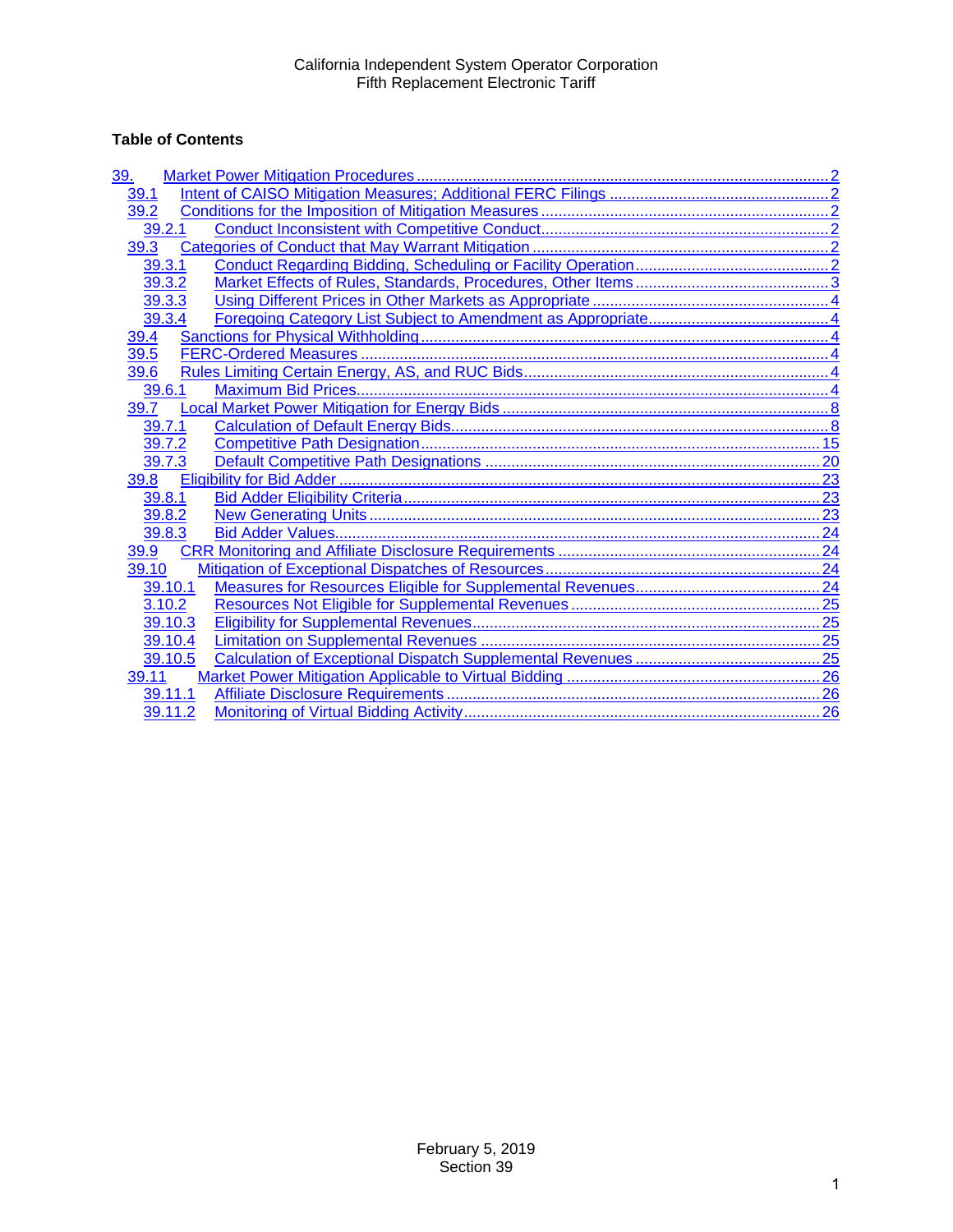# **Table of Contents**

| 39.     |  |
|---------|--|
| 39.1    |  |
| 39.2    |  |
| 39.2.1  |  |
| 39.3    |  |
| 39.3.1  |  |
| 39.3.2  |  |
| 39.3.3  |  |
| 39.3.4  |  |
| 39.4    |  |
| 39.5    |  |
| 39.6    |  |
| 39.6.1  |  |
| 39.7    |  |
| 39.7.1  |  |
| 39.7.2  |  |
| 39.7.3  |  |
| 39.8    |  |
| 39.8.1  |  |
| 39.8.2  |  |
| 39.8.3  |  |
| 39.9    |  |
| 39.10   |  |
| 39.10.1 |  |
| 3.10.2  |  |
| 39.10.3 |  |
| 39.10.4 |  |
| 39.10.5 |  |
| 39.11   |  |
| 39.11.1 |  |
| 39.11.2 |  |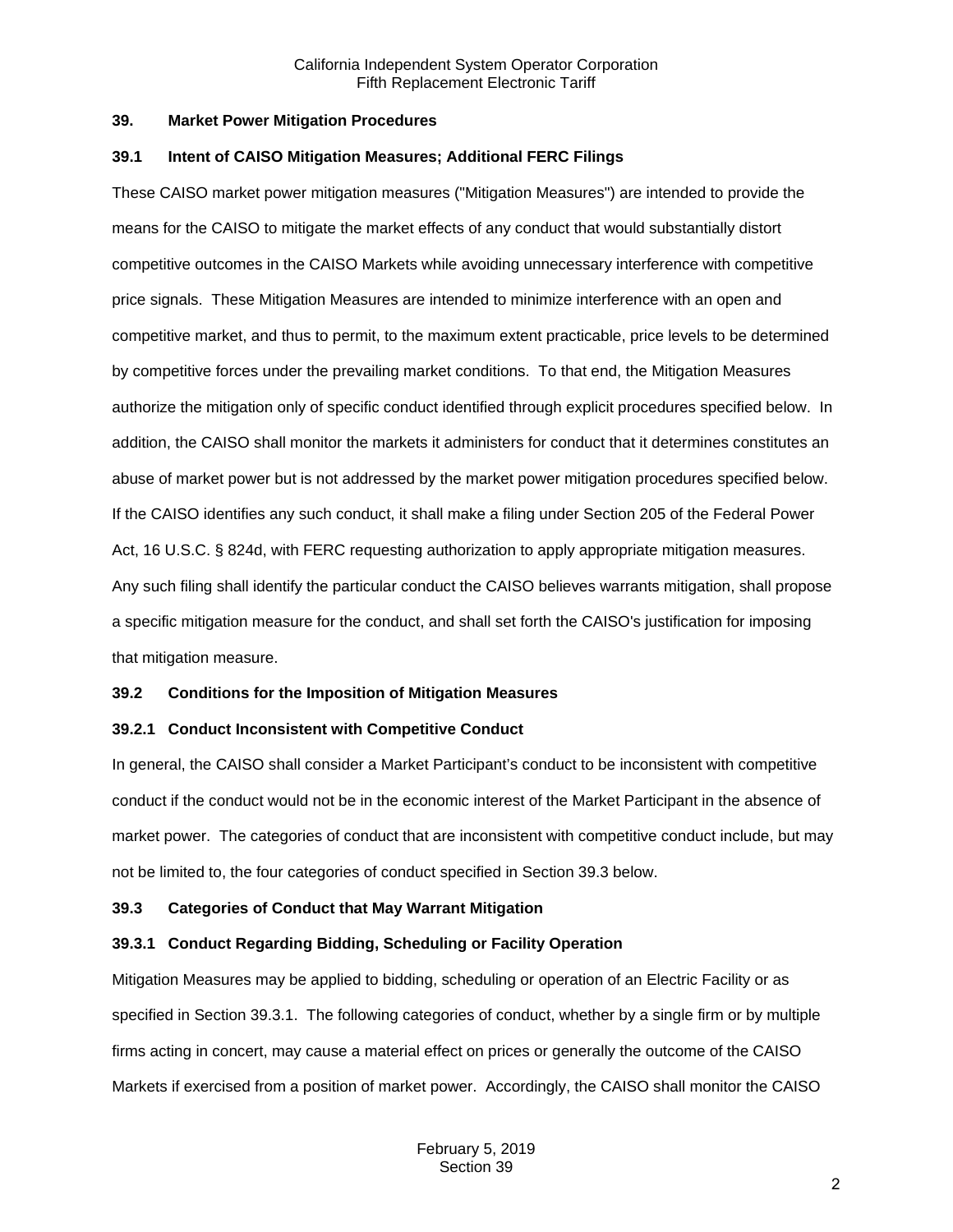### <span id="page-1-0"></span>**39. Market Power Mitigation Procedures**

#### <span id="page-1-1"></span>**39.1 Intent of CAISO Mitigation Measures; Additional FERC Filings**

These CAISO market power mitigation measures ("Mitigation Measures") are intended to provide the means for the CAISO to mitigate the market effects of any conduct that would substantially distort competitive outcomes in the CAISO Markets while avoiding unnecessary interference with competitive price signals. These Mitigation Measures are intended to minimize interference with an open and competitive market, and thus to permit, to the maximum extent practicable, price levels to be determined by competitive forces under the prevailing market conditions. To that end, the Mitigation Measures authorize the mitigation only of specific conduct identified through explicit procedures specified below. In addition, the CAISO shall monitor the markets it administers for conduct that it determines constitutes an abuse of market power but is not addressed by the market power mitigation procedures specified below. If the CAISO identifies any such conduct, it shall make a filing under Section 205 of the Federal Power Act, 16 U.S.C. § 824d, with FERC requesting authorization to apply appropriate mitigation measures. Any such filing shall identify the particular conduct the CAISO believes warrants mitigation, shall propose a specific mitigation measure for the conduct, and shall set forth the CAISO's justification for imposing that mitigation measure.

## <span id="page-1-2"></span>**39.2 Conditions for the Imposition of Mitigation Measures**

## <span id="page-1-3"></span>**39.2.1 Conduct Inconsistent with Competitive Conduct**

In general, the CAISO shall consider a Market Participant's conduct to be inconsistent with competitive conduct if the conduct would not be in the economic interest of the Market Participant in the absence of market power. The categories of conduct that are inconsistent with competitive conduct include, but may not be limited to, the four categories of conduct specified in Section 39.3 below.

## <span id="page-1-4"></span>**39.3 Categories of Conduct that May Warrant Mitigation**

## <span id="page-1-5"></span>**39.3.1 Conduct Regarding Bidding, Scheduling or Facility Operation**

Mitigation Measures may be applied to bidding, scheduling or operation of an Electric Facility or as specified in Section 39.3.1. The following categories of conduct, whether by a single firm or by multiple firms acting in concert, may cause a material effect on prices or generally the outcome of the CAISO Markets if exercised from a position of market power. Accordingly, the CAISO shall monitor the CAISO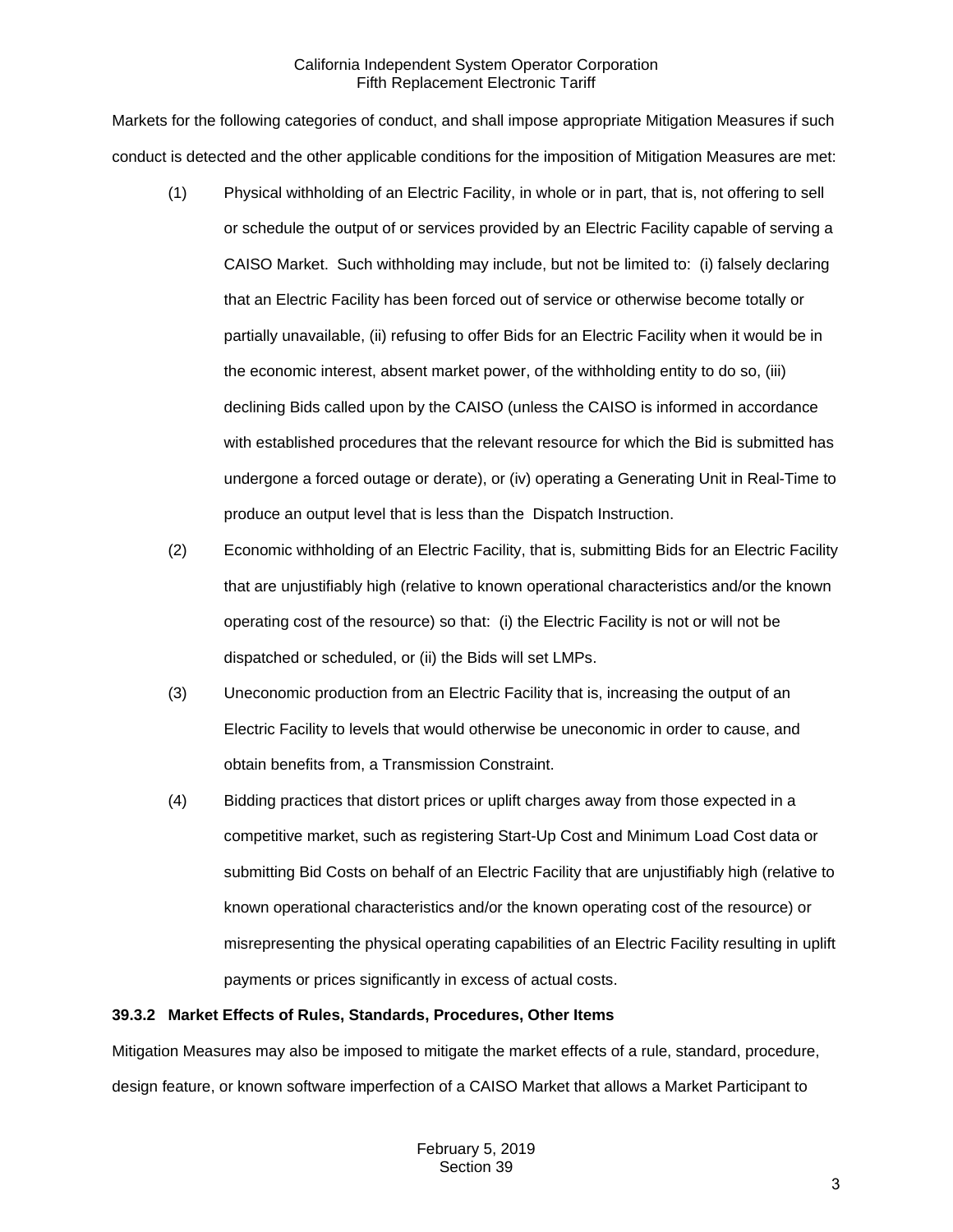Markets for the following categories of conduct, and shall impose appropriate Mitigation Measures if such conduct is detected and the other applicable conditions for the imposition of Mitigation Measures are met:

- (1) Physical withholding of an Electric Facility, in whole or in part, that is, not offering to sell or schedule the output of or services provided by an Electric Facility capable of serving a CAISO Market. Such withholding may include, but not be limited to: (i) falsely declaring that an Electric Facility has been forced out of service or otherwise become totally or partially unavailable, (ii) refusing to offer Bids for an Electric Facility when it would be in the economic interest, absent market power, of the withholding entity to do so, (iii) declining Bids called upon by the CAISO (unless the CAISO is informed in accordance with established procedures that the relevant resource for which the Bid is submitted has undergone a forced outage or derate), or (iv) operating a Generating Unit in Real-Time to produce an output level that is less than the Dispatch Instruction.
- (2) Economic withholding of an Electric Facility, that is, submitting Bids for an Electric Facility that are unjustifiably high (relative to known operational characteristics and/or the known operating cost of the resource) so that: (i) the Electric Facility is not or will not be dispatched or scheduled, or (ii) the Bids will set LMPs.
- (3) Uneconomic production from an Electric Facility that is, increasing the output of an Electric Facility to levels that would otherwise be uneconomic in order to cause, and obtain benefits from, a Transmission Constraint.
- (4) Bidding practices that distort prices or uplift charges away from those expected in a competitive market, such as registering Start-Up Cost and Minimum Load Cost data or submitting Bid Costs on behalf of an Electric Facility that are unjustifiably high (relative to known operational characteristics and/or the known operating cost of the resource) or misrepresenting the physical operating capabilities of an Electric Facility resulting in uplift payments or prices significantly in excess of actual costs.

## <span id="page-2-0"></span>**39.3.2 Market Effects of Rules, Standards, Procedures, Other Items**

Mitigation Measures may also be imposed to mitigate the market effects of a rule, standard, procedure, design feature, or known software imperfection of a CAISO Market that allows a Market Participant to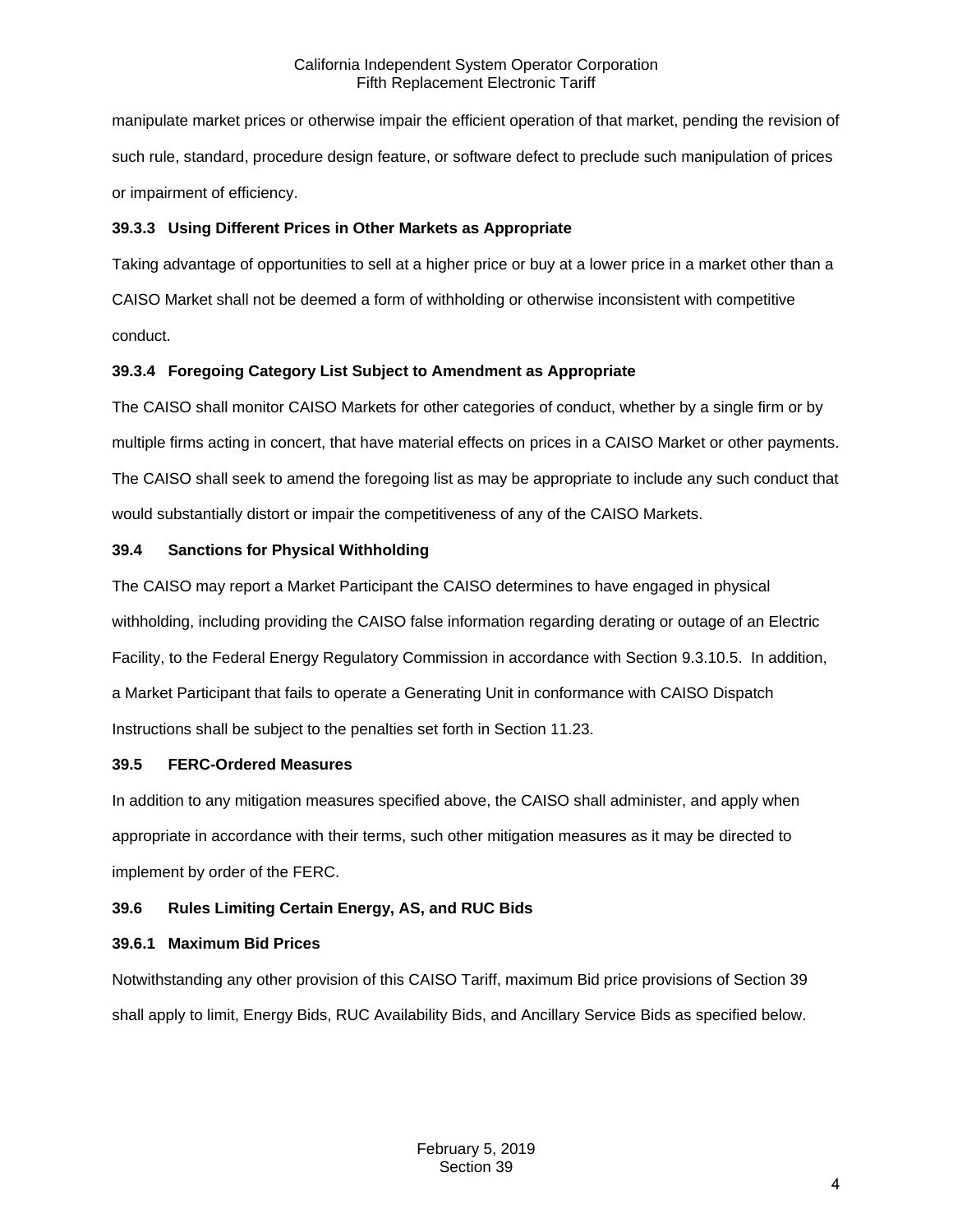manipulate market prices or otherwise impair the efficient operation of that market, pending the revision of such rule, standard, procedure design feature, or software defect to preclude such manipulation of prices or impairment of efficiency.

## <span id="page-3-0"></span>**39.3.3 Using Different Prices in Other Markets as Appropriate**

Taking advantage of opportunities to sell at a higher price or buy at a lower price in a market other than a CAISO Market shall not be deemed a form of withholding or otherwise inconsistent with competitive conduct.

## <span id="page-3-1"></span>**39.3.4 Foregoing Category List Subject to Amendment as Appropriate**

The CAISO shall monitor CAISO Markets for other categories of conduct, whether by a single firm or by multiple firms acting in concert, that have material effects on prices in a CAISO Market or other payments. The CAISO shall seek to amend the foregoing list as may be appropriate to include any such conduct that would substantially distort or impair the competitiveness of any of the CAISO Markets.

## <span id="page-3-2"></span>**39.4 Sanctions for Physical Withholding**

The CAISO may report a Market Participant the CAISO determines to have engaged in physical withholding, including providing the CAISO false information regarding derating or outage of an Electric Facility, to the Federal Energy Regulatory Commission in accordance with Section 9.3.10.5. In addition, a Market Participant that fails to operate a Generating Unit in conformance with CAISO Dispatch Instructions shall be subject to the penalties set forth in Section 11.23.

## <span id="page-3-3"></span>**39.5 FERC-Ordered Measures**

In addition to any mitigation measures specified above, the CAISO shall administer, and apply when appropriate in accordance with their terms, such other mitigation measures as it may be directed to implement by order of the FERC.

# <span id="page-3-4"></span>**39.6 Rules Limiting Certain Energy, AS, and RUC Bids**

## <span id="page-3-5"></span>**39.6.1 Maximum Bid Prices**

Notwithstanding any other provision of this CAISO Tariff, maximum Bid price provisions of Section 39 shall apply to limit, Energy Bids, RUC Availability Bids, and Ancillary Service Bids as specified below.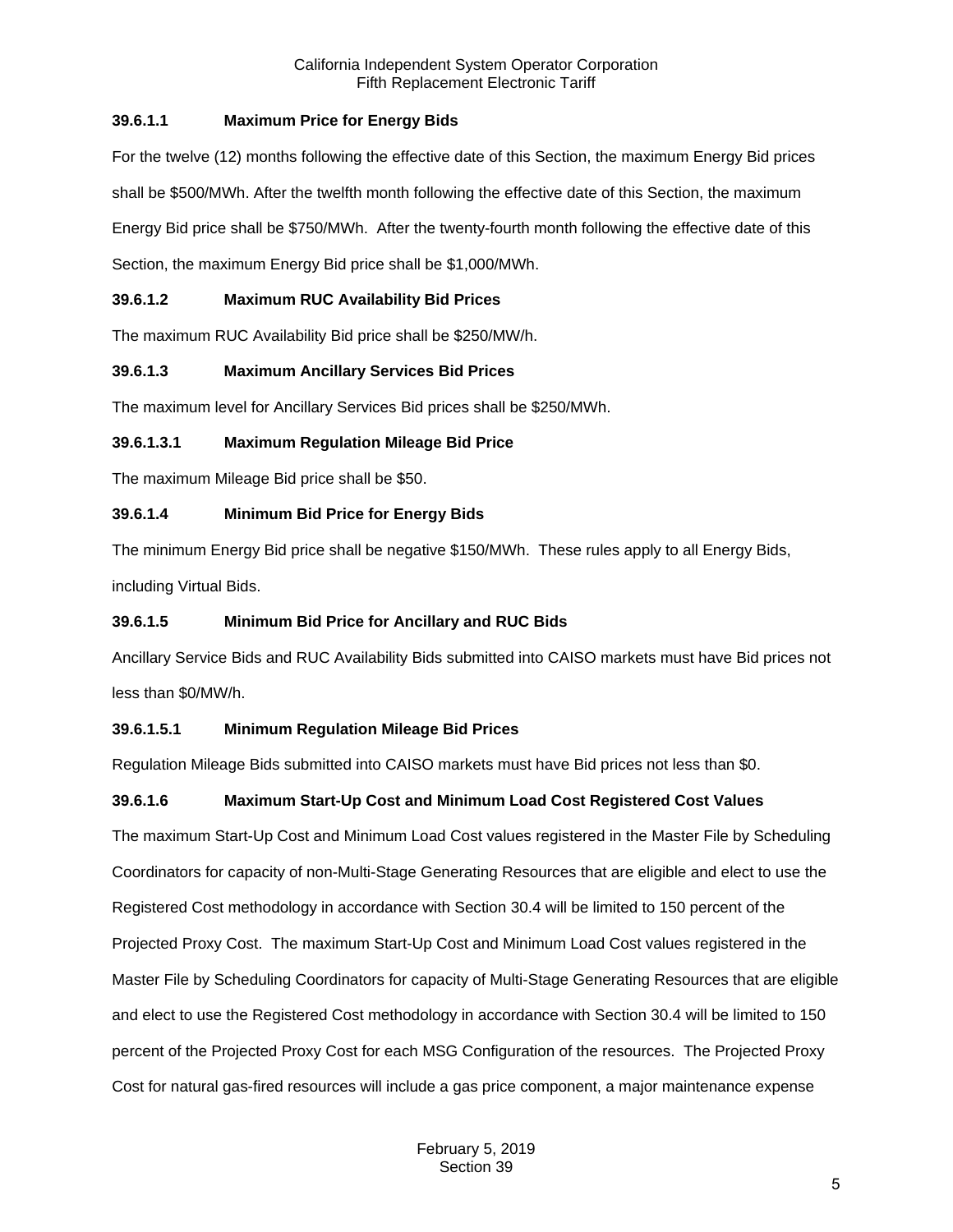# **39.6.1.1 Maximum Price for Energy Bids**

For the twelve (12) months following the effective date of this Section, the maximum Energy Bid prices shall be \$500/MWh. After the twelfth month following the effective date of this Section, the maximum Energy Bid price shall be \$750/MWh. After the twenty-fourth month following the effective date of this Section, the maximum Energy Bid price shall be \$1,000/MWh.

# **39.6.1.2 Maximum RUC Availability Bid Prices**

The maximum RUC Availability Bid price shall be \$250/MW/h.

# **39.6.1.3 Maximum Ancillary Services Bid Prices**

The maximum level for Ancillary Services Bid prices shall be \$250/MWh.

## **39.6.1.3.1 Maximum Regulation Mileage Bid Price**

The maximum Mileage Bid price shall be \$50.

## **39.6.1.4 Minimum Bid Price for Energy Bids**

The minimum Energy Bid price shall be negative \$150/MWh. These rules apply to all Energy Bids, including Virtual Bids.

## **39.6.1.5 Minimum Bid Price for Ancillary and RUC Bids**

Ancillary Service Bids and RUC Availability Bids submitted into CAISO markets must have Bid prices not less than \$0/MW/h.

# **39.6.1.5.1 Minimum Regulation Mileage Bid Prices**

Regulation Mileage Bids submitted into CAISO markets must have Bid prices not less than \$0.

# **39.6.1.6 Maximum Start-Up Cost and Minimum Load Cost Registered Cost Values**

The maximum Start-Up Cost and Minimum Load Cost values registered in the Master File by Scheduling Coordinators for capacity of non-Multi-Stage Generating Resources that are eligible and elect to use the Registered Cost methodology in accordance with Section 30.4 will be limited to 150 percent of the Projected Proxy Cost. The maximum Start-Up Cost and Minimum Load Cost values registered in the Master File by Scheduling Coordinators for capacity of Multi-Stage Generating Resources that are eligible and elect to use the Registered Cost methodology in accordance with Section 30.4 will be limited to 150 percent of the Projected Proxy Cost for each MSG Configuration of the resources. The Projected Proxy Cost for natural gas-fired resources will include a gas price component, a major maintenance expense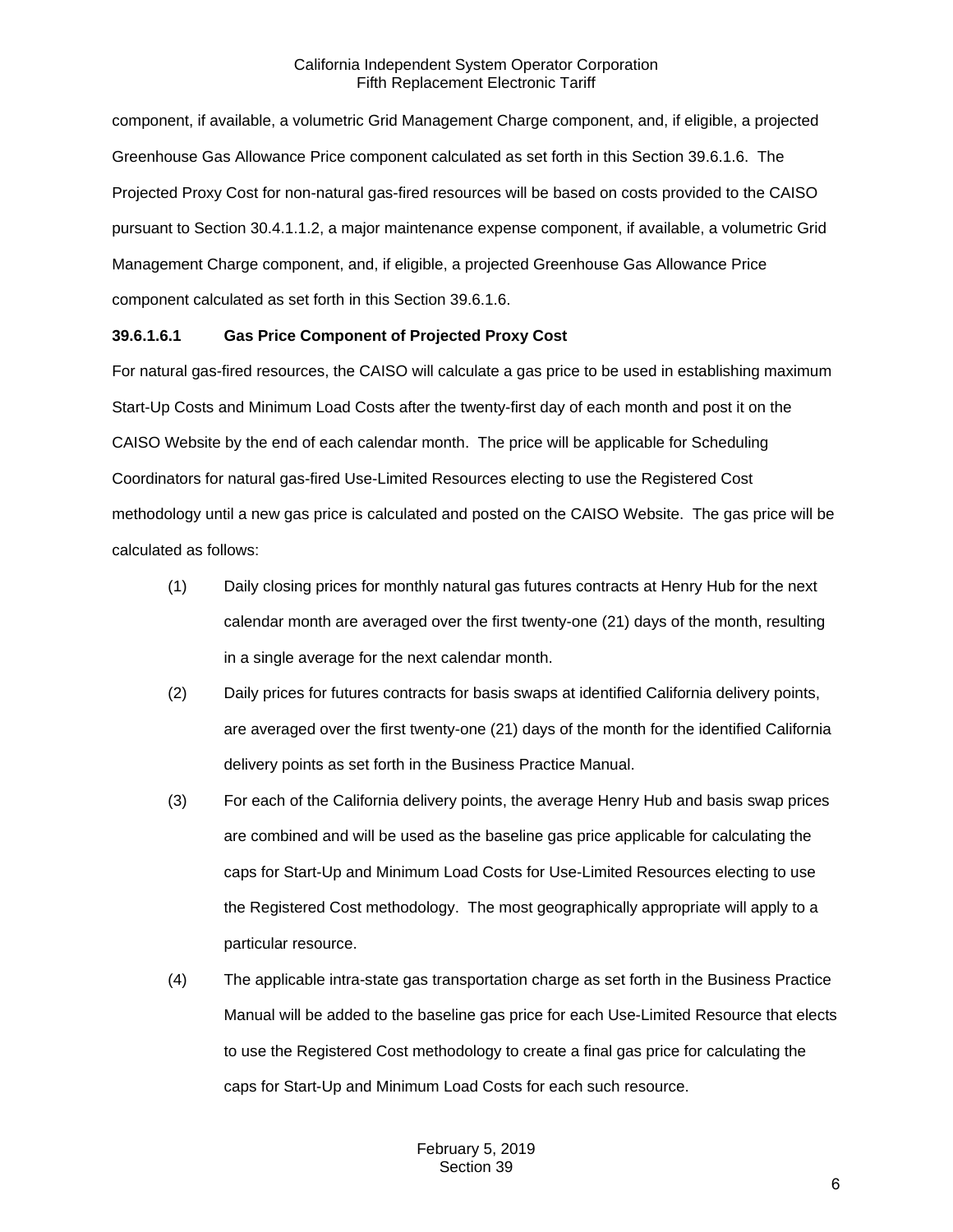component, if available, a volumetric Grid Management Charge component, and, if eligible, a projected Greenhouse Gas Allowance Price component calculated as set forth in this Section 39.6.1.6. The Projected Proxy Cost for non-natural gas-fired resources will be based on costs provided to the CAISO pursuant to Section 30.4.1.1.2, a major maintenance expense component, if available, a volumetric Grid Management Charge component, and, if eligible, a projected Greenhouse Gas Allowance Price component calculated as set forth in this Section 39.6.1.6.

## **39.6.1.6.1 Gas Price Component of Projected Proxy Cost**

For natural gas-fired resources, the CAISO will calculate a gas price to be used in establishing maximum Start-Up Costs and Minimum Load Costs after the twenty-first day of each month and post it on the CAISO Website by the end of each calendar month. The price will be applicable for Scheduling Coordinators for natural gas-fired Use-Limited Resources electing to use the Registered Cost methodology until a new gas price is calculated and posted on the CAISO Website. The gas price will be calculated as follows:

- (1) Daily closing prices for monthly natural gas futures contracts at Henry Hub for the next calendar month are averaged over the first twenty-one (21) days of the month, resulting in a single average for the next calendar month.
- (2) Daily prices for futures contracts for basis swaps at identified California delivery points, are averaged over the first twenty-one (21) days of the month for the identified California delivery points as set forth in the Business Practice Manual.
- (3) For each of the California delivery points, the average Henry Hub and basis swap prices are combined and will be used as the baseline gas price applicable for calculating the caps for Start-Up and Minimum Load Costs for Use-Limited Resources electing to use the Registered Cost methodology. The most geographically appropriate will apply to a particular resource.
- (4) The applicable intra-state gas transportation charge as set forth in the Business Practice Manual will be added to the baseline gas price for each Use-Limited Resource that elects to use the Registered Cost methodology to create a final gas price for calculating the caps for Start-Up and Minimum Load Costs for each such resource.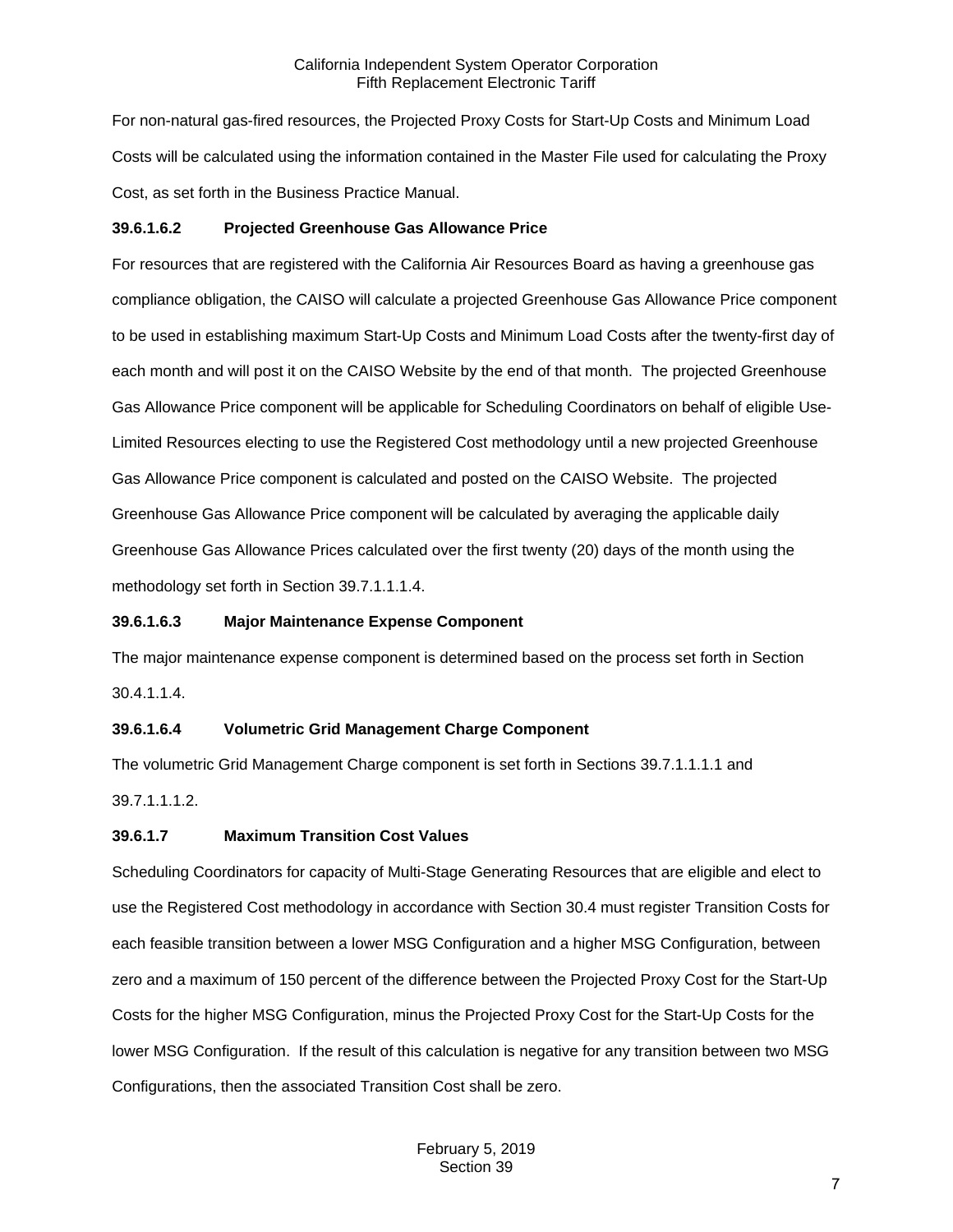For non-natural gas-fired resources, the Projected Proxy Costs for Start-Up Costs and Minimum Load Costs will be calculated using the information contained in the Master File used for calculating the Proxy Cost, as set forth in the Business Practice Manual.

## **39.6.1.6.2 Projected Greenhouse Gas Allowance Price**

For resources that are registered with the California Air Resources Board as having a greenhouse gas compliance obligation, the CAISO will calculate a projected Greenhouse Gas Allowance Price component to be used in establishing maximum Start-Up Costs and Minimum Load Costs after the twenty-first day of each month and will post it on the CAISO Website by the end of that month. The projected Greenhouse Gas Allowance Price component will be applicable for Scheduling Coordinators on behalf of eligible Use-Limited Resources electing to use the Registered Cost methodology until a new projected Greenhouse Gas Allowance Price component is calculated and posted on the CAISO Website. The projected Greenhouse Gas Allowance Price component will be calculated by averaging the applicable daily Greenhouse Gas Allowance Prices calculated over the first twenty (20) days of the month using the methodology set forth in Section 39.7.1.1.1.4.

## **39.6.1.6.3 Major Maintenance Expense Component**

The major maintenance expense component is determined based on the process set forth in Section 30.4.1.1.4.

## **39.6.1.6.4 Volumetric Grid Management Charge Component**

The volumetric Grid Management Charge component is set forth in Sections 39.7.1.1.1.1 and 39.7.1.1.1.2.

## **39.6.1.7 Maximum Transition Cost Values**

Scheduling Coordinators for capacity of Multi-Stage Generating Resources that are eligible and elect to use the Registered Cost methodology in accordance with Section 30.4 must register Transition Costs for each feasible transition between a lower MSG Configuration and a higher MSG Configuration, between zero and a maximum of 150 percent of the difference between the Projected Proxy Cost for the Start-Up Costs for the higher MSG Configuration, minus the Projected Proxy Cost for the Start-Up Costs for the lower MSG Configuration. If the result of this calculation is negative for any transition between two MSG Configurations, then the associated Transition Cost shall be zero.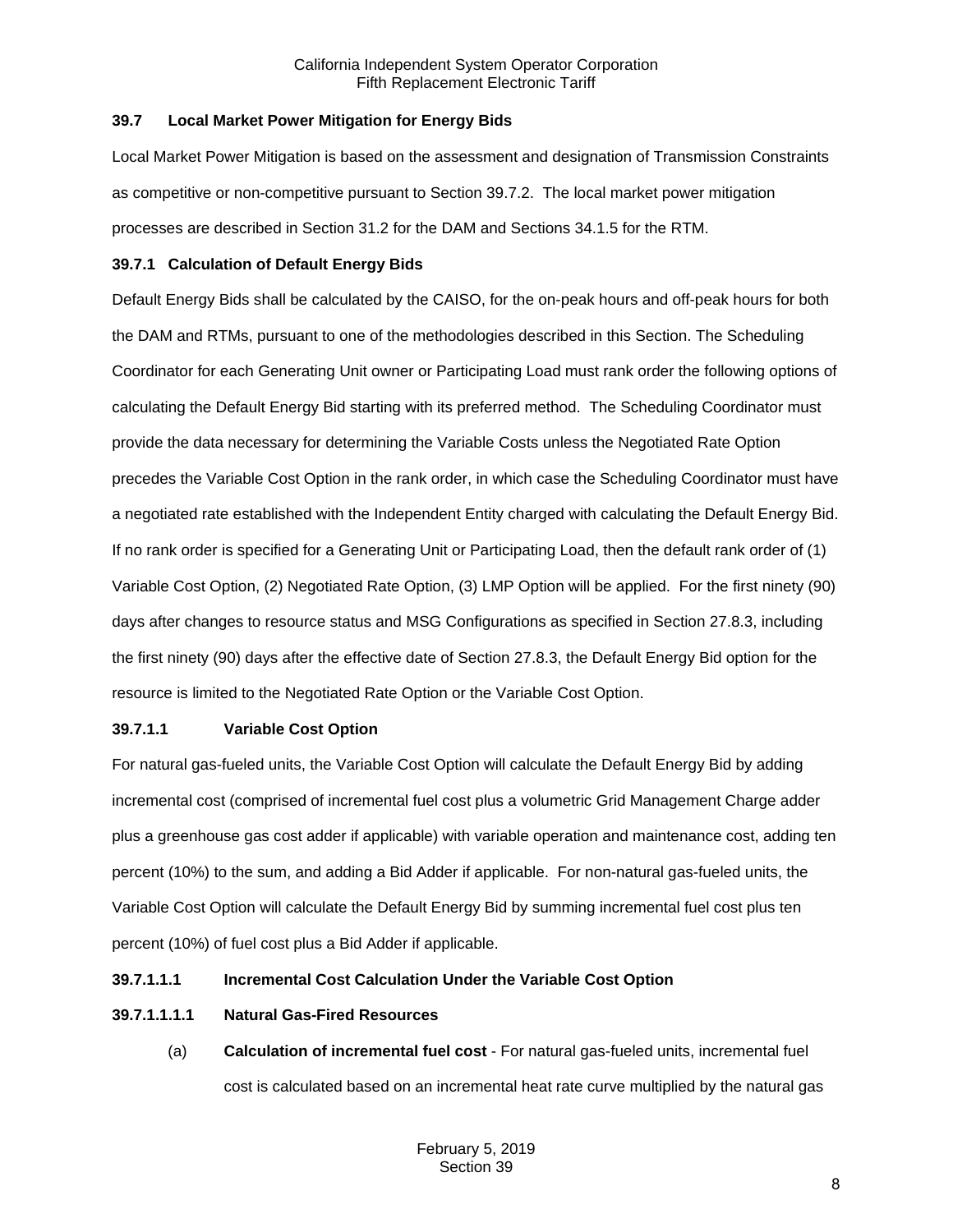## <span id="page-7-0"></span>**39.7 Local Market Power Mitigation for Energy Bids**

Local Market Power Mitigation is based on the assessment and designation of Transmission Constraints as competitive or non-competitive pursuant to Section 39.7.2. The local market power mitigation processes are described in Section 31.2 for the DAM and Sections 34.1.5 for the RTM.

## <span id="page-7-1"></span>**39.7.1 Calculation of Default Energy Bids**

Default Energy Bids shall be calculated by the CAISO, for the on-peak hours and off-peak hours for both the DAM and RTMs, pursuant to one of the methodologies described in this Section. The Scheduling Coordinator for each Generating Unit owner or Participating Load must rank order the following options of calculating the Default Energy Bid starting with its preferred method. The Scheduling Coordinator must provide the data necessary for determining the Variable Costs unless the Negotiated Rate Option precedes the Variable Cost Option in the rank order, in which case the Scheduling Coordinator must have a negotiated rate established with the Independent Entity charged with calculating the Default Energy Bid. If no rank order is specified for a Generating Unit or Participating Load, then the default rank order of (1) Variable Cost Option, (2) Negotiated Rate Option, (3) LMP Option will be applied. For the first ninety (90) days after changes to resource status and MSG Configurations as specified in Section 27.8.3, including the first ninety (90) days after the effective date of Section 27.8.3, the Default Energy Bid option for the resource is limited to the Negotiated Rate Option or the Variable Cost Option.

## **39.7.1.1 Variable Cost Option**

For natural gas-fueled units, the Variable Cost Option will calculate the Default Energy Bid by adding incremental cost (comprised of incremental fuel cost plus a volumetric Grid Management Charge adder plus a greenhouse gas cost adder if applicable) with variable operation and maintenance cost, adding ten percent (10%) to the sum, and adding a Bid Adder if applicable. For non-natural gas-fueled units, the Variable Cost Option will calculate the Default Energy Bid by summing incremental fuel cost plus ten percent (10%) of fuel cost plus a Bid Adder if applicable.

## **39.7.1.1.1 Incremental Cost Calculation Under the Variable Cost Option**

## **39.7.1.1.1.1 Natural Gas-Fired Resources**

(a) **Calculation of incremental fuel cost** - For natural gas-fueled units, incremental fuel cost is calculated based on an incremental heat rate curve multiplied by the natural gas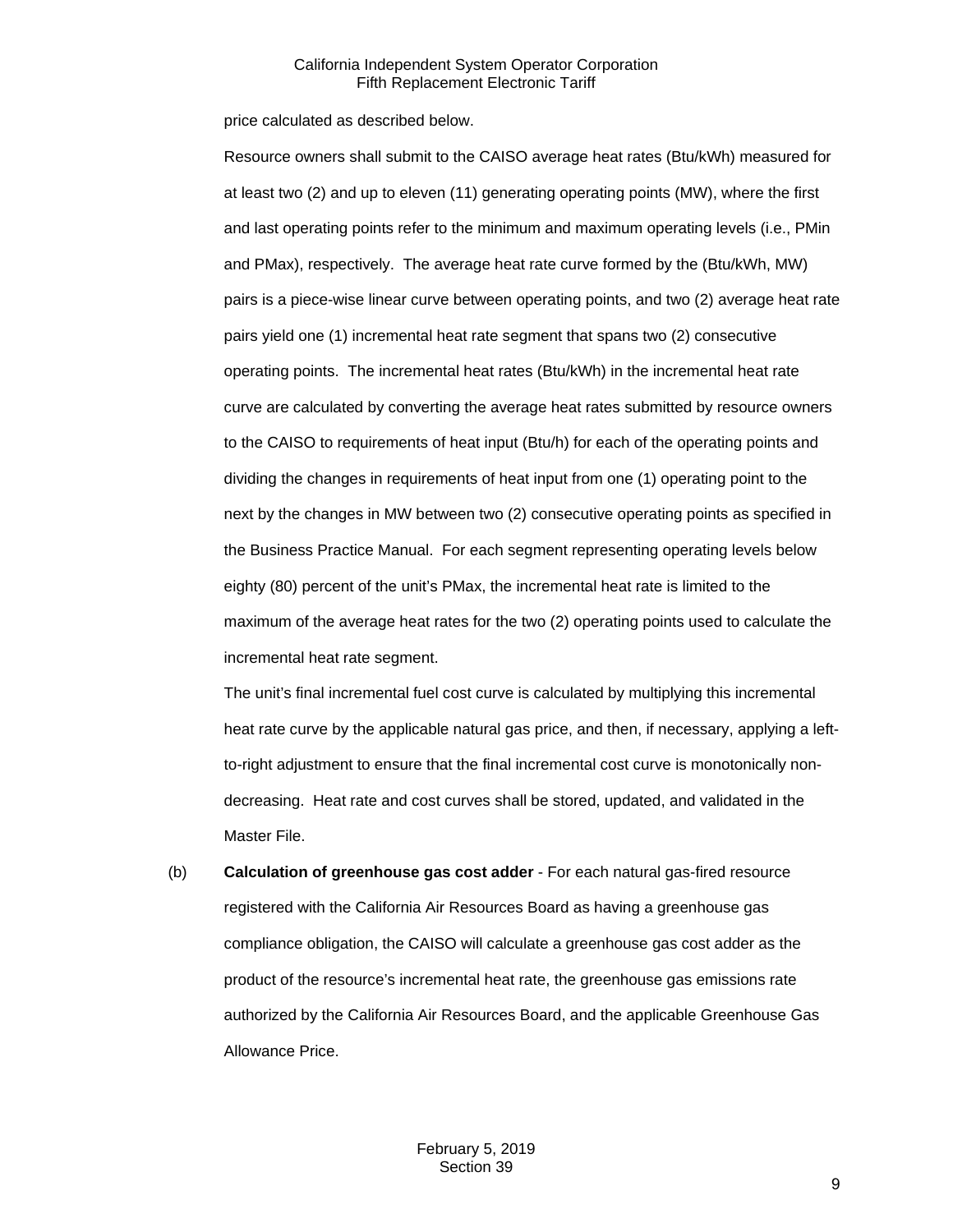price calculated as described below.

Resource owners shall submit to the CAISO average heat rates (Btu/kWh) measured for at least two (2) and up to eleven (11) generating operating points (MW), where the first and last operating points refer to the minimum and maximum operating levels (i.e., PMin and PMax), respectively. The average heat rate curve formed by the (Btu/kWh, MW) pairs is a piece-wise linear curve between operating points, and two (2) average heat rate pairs yield one (1) incremental heat rate segment that spans two (2) consecutive operating points. The incremental heat rates (Btu/kWh) in the incremental heat rate curve are calculated by converting the average heat rates submitted by resource owners to the CAISO to requirements of heat input (Btu/h) for each of the operating points and dividing the changes in requirements of heat input from one (1) operating point to the next by the changes in MW between two (2) consecutive operating points as specified in the Business Practice Manual. For each segment representing operating levels below eighty (80) percent of the unit's PMax, the incremental heat rate is limited to the maximum of the average heat rates for the two (2) operating points used to calculate the incremental heat rate segment.

The unit's final incremental fuel cost curve is calculated by multiplying this incremental heat rate curve by the applicable natural gas price, and then, if necessary, applying a leftto-right adjustment to ensure that the final incremental cost curve is monotonically nondecreasing. Heat rate and cost curves shall be stored, updated, and validated in the Master File.

(b) **Calculation of greenhouse gas cost adder** - For each natural gas-fired resource registered with the California Air Resources Board as having a greenhouse gas compliance obligation, the CAISO will calculate a greenhouse gas cost adder as the product of the resource's incremental heat rate, the greenhouse gas emissions rate authorized by the California Air Resources Board, and the applicable Greenhouse Gas Allowance Price.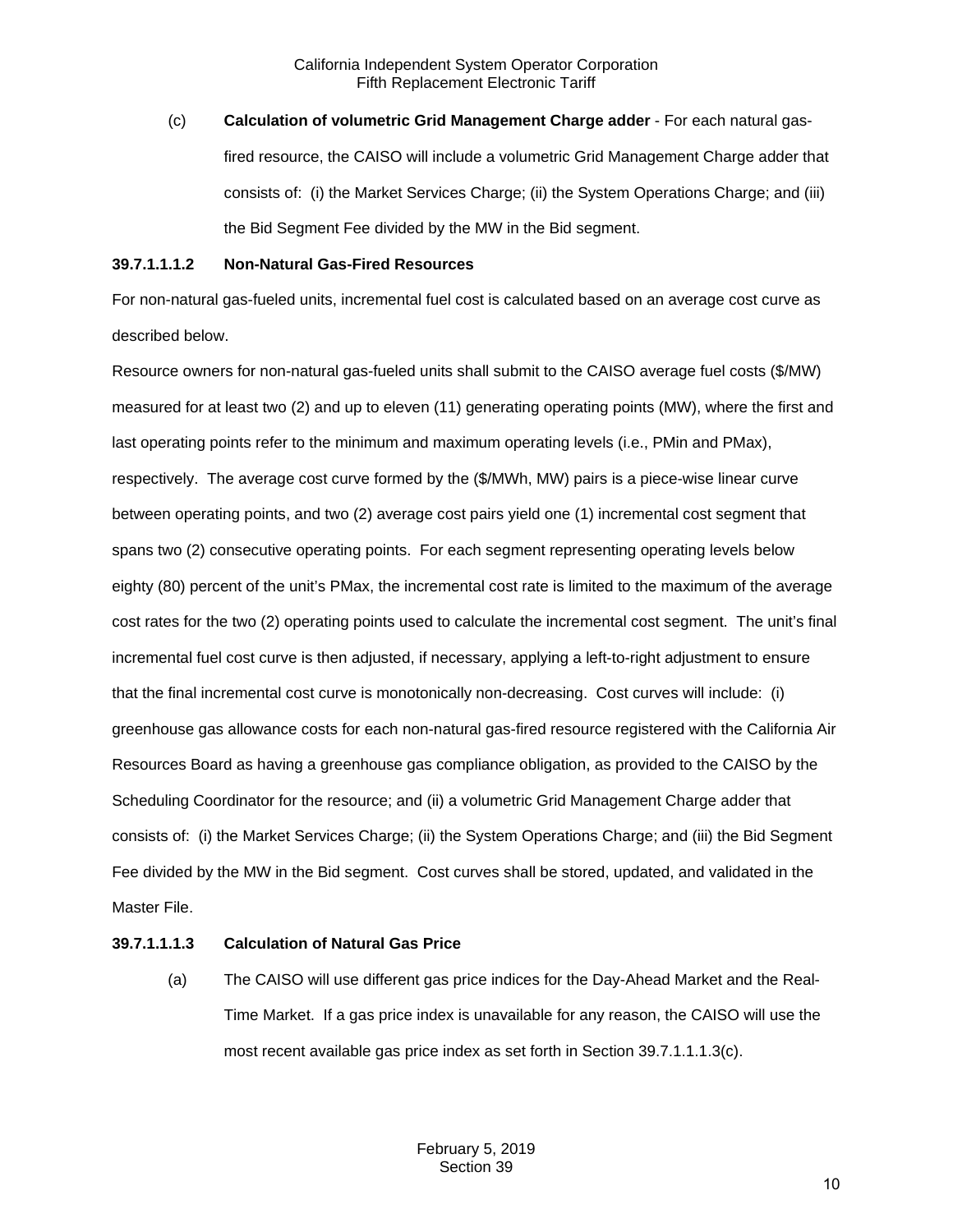(c) **Calculation of volumetric Grid Management Charge adder** - For each natural gasfired resource, the CAISO will include a volumetric Grid Management Charge adder that consists of: (i) the Market Services Charge; (ii) the System Operations Charge; and (iii) the Bid Segment Fee divided by the MW in the Bid segment.

### **39.7.1.1.1.2 Non-Natural Gas-Fired Resources**

For non-natural gas-fueled units, incremental fuel cost is calculated based on an average cost curve as described below.

Resource owners for non-natural gas-fueled units shall submit to the CAISO average fuel costs (\$/MW) measured for at least two (2) and up to eleven (11) generating operating points (MW), where the first and last operating points refer to the minimum and maximum operating levels (i.e., PMin and PMax), respectively. The average cost curve formed by the (\$/MWh, MW) pairs is a piece-wise linear curve between operating points, and two (2) average cost pairs yield one (1) incremental cost segment that spans two (2) consecutive operating points. For each segment representing operating levels below eighty (80) percent of the unit's PMax, the incremental cost rate is limited to the maximum of the average cost rates for the two (2) operating points used to calculate the incremental cost segment. The unit's final incremental fuel cost curve is then adjusted, if necessary, applying a left-to-right adjustment to ensure that the final incremental cost curve is monotonically non-decreasing. Cost curves will include: (i) greenhouse gas allowance costs for each non-natural gas-fired resource registered with the California Air Resources Board as having a greenhouse gas compliance obligation, as provided to the CAISO by the Scheduling Coordinator for the resource; and (ii) a volumetric Grid Management Charge adder that consists of: (i) the Market Services Charge; (ii) the System Operations Charge; and (iii) the Bid Segment Fee divided by the MW in the Bid segment. Cost curves shall be stored, updated, and validated in the Master File.

## **39.7.1.1.1.3 Calculation of Natural Gas Price**

(a) The CAISO will use different gas price indices for the Day-Ahead Market and the Real-Time Market. If a gas price index is unavailable for any reason, the CAISO will use the most recent available gas price index as set forth in Section 39.7.1.1.1.3(c).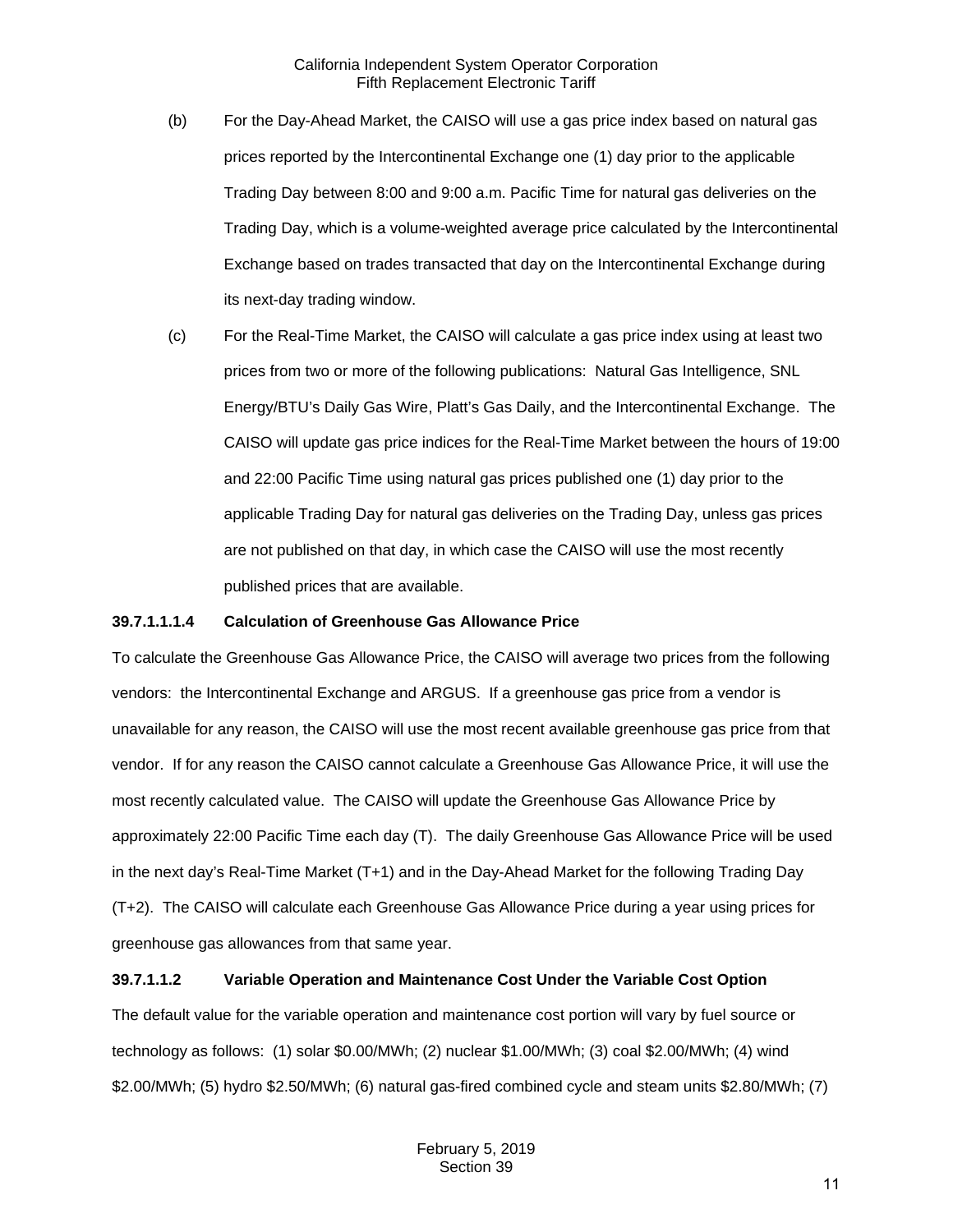- (b) For the Day-Ahead Market, the CAISO will use a gas price index based on natural gas prices reported by the Intercontinental Exchange one (1) day prior to the applicable Trading Day between 8:00 and 9:00 a.m. Pacific Time for natural gas deliveries on the Trading Day, which is a volume-weighted average price calculated by the Intercontinental Exchange based on trades transacted that day on the Intercontinental Exchange during its next-day trading window.
- (c) For the Real-Time Market, the CAISO will calculate a gas price index using at least two prices from two or more of the following publications: Natural Gas Intelligence, SNL Energy/BTU's Daily Gas Wire, Platt's Gas Daily, and the Intercontinental Exchange. The CAISO will update gas price indices for the Real-Time Market between the hours of 19:00 and 22:00 Pacific Time using natural gas prices published one (1) day prior to the applicable Trading Day for natural gas deliveries on the Trading Day, unless gas prices are not published on that day, in which case the CAISO will use the most recently published prices that are available.

#### **39.7.1.1.1.4 Calculation of Greenhouse Gas Allowance Price**

To calculate the Greenhouse Gas Allowance Price, the CAISO will average two prices from the following vendors: the Intercontinental Exchange and ARGUS. If a greenhouse gas price from a vendor is unavailable for any reason, the CAISO will use the most recent available greenhouse gas price from that vendor. If for any reason the CAISO cannot calculate a Greenhouse Gas Allowance Price, it will use the most recently calculated value. The CAISO will update the Greenhouse Gas Allowance Price by approximately 22:00 Pacific Time each day (T). The daily Greenhouse Gas Allowance Price will be used in the next day's Real-Time Market (T+1) and in the Day-Ahead Market for the following Trading Day (T+2). The CAISO will calculate each Greenhouse Gas Allowance Price during a year using prices for greenhouse gas allowances from that same year.

## **39.7.1.1.2 Variable Operation and Maintenance Cost Under the Variable Cost Option**

The default value for the variable operation and maintenance cost portion will vary by fuel source or technology as follows: (1) solar \$0.00/MWh; (2) nuclear \$1.00/MWh; (3) coal \$2.00/MWh; (4) wind \$2.00/MWh; (5) hydro \$2.50/MWh; (6) natural gas-fired combined cycle and steam units \$2.80/MWh; (7)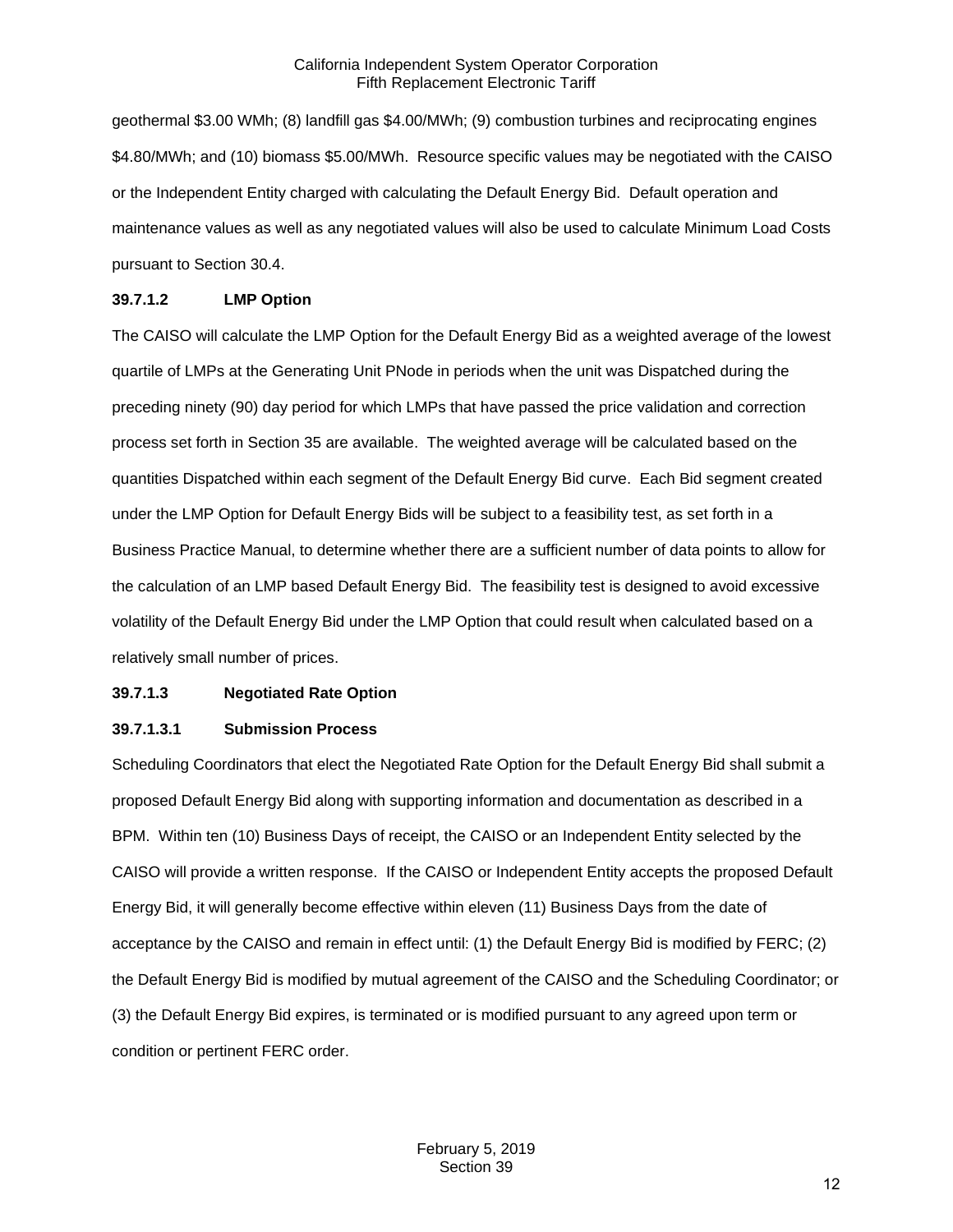geothermal \$3.00 WMh; (8) landfill gas \$4.00/MWh; (9) combustion turbines and reciprocating engines \$4.80/MWh; and (10) biomass \$5.00/MWh. Resource specific values may be negotiated with the CAISO or the Independent Entity charged with calculating the Default Energy Bid. Default operation and maintenance values as well as any negotiated values will also be used to calculate Minimum Load Costs pursuant to Section 30.4.

### **39.7.1.2 LMP Option**

The CAISO will calculate the LMP Option for the Default Energy Bid as a weighted average of the lowest quartile of LMPs at the Generating Unit PNode in periods when the unit was Dispatched during the preceding ninety (90) day period for which LMPs that have passed the price validation and correction process set forth in Section 35 are available. The weighted average will be calculated based on the quantities Dispatched within each segment of the Default Energy Bid curve. Each Bid segment created under the LMP Option for Default Energy Bids will be subject to a feasibility test, as set forth in a Business Practice Manual, to determine whether there are a sufficient number of data points to allow for the calculation of an LMP based Default Energy Bid. The feasibility test is designed to avoid excessive volatility of the Default Energy Bid under the LMP Option that could result when calculated based on a relatively small number of prices.

#### **39.7.1.3 Negotiated Rate Option**

#### **39.7.1.3.1 Submission Process**

Scheduling Coordinators that elect the Negotiated Rate Option for the Default Energy Bid shall submit a proposed Default Energy Bid along with supporting information and documentation as described in a BPM. Within ten (10) Business Days of receipt, the CAISO or an Independent Entity selected by the CAISO will provide a written response. If the CAISO or Independent Entity accepts the proposed Default Energy Bid, it will generally become effective within eleven (11) Business Days from the date of acceptance by the CAISO and remain in effect until: (1) the Default Energy Bid is modified by FERC; (2) the Default Energy Bid is modified by mutual agreement of the CAISO and the Scheduling Coordinator; or (3) the Default Energy Bid expires, is terminated or is modified pursuant to any agreed upon term or condition or pertinent FERC order.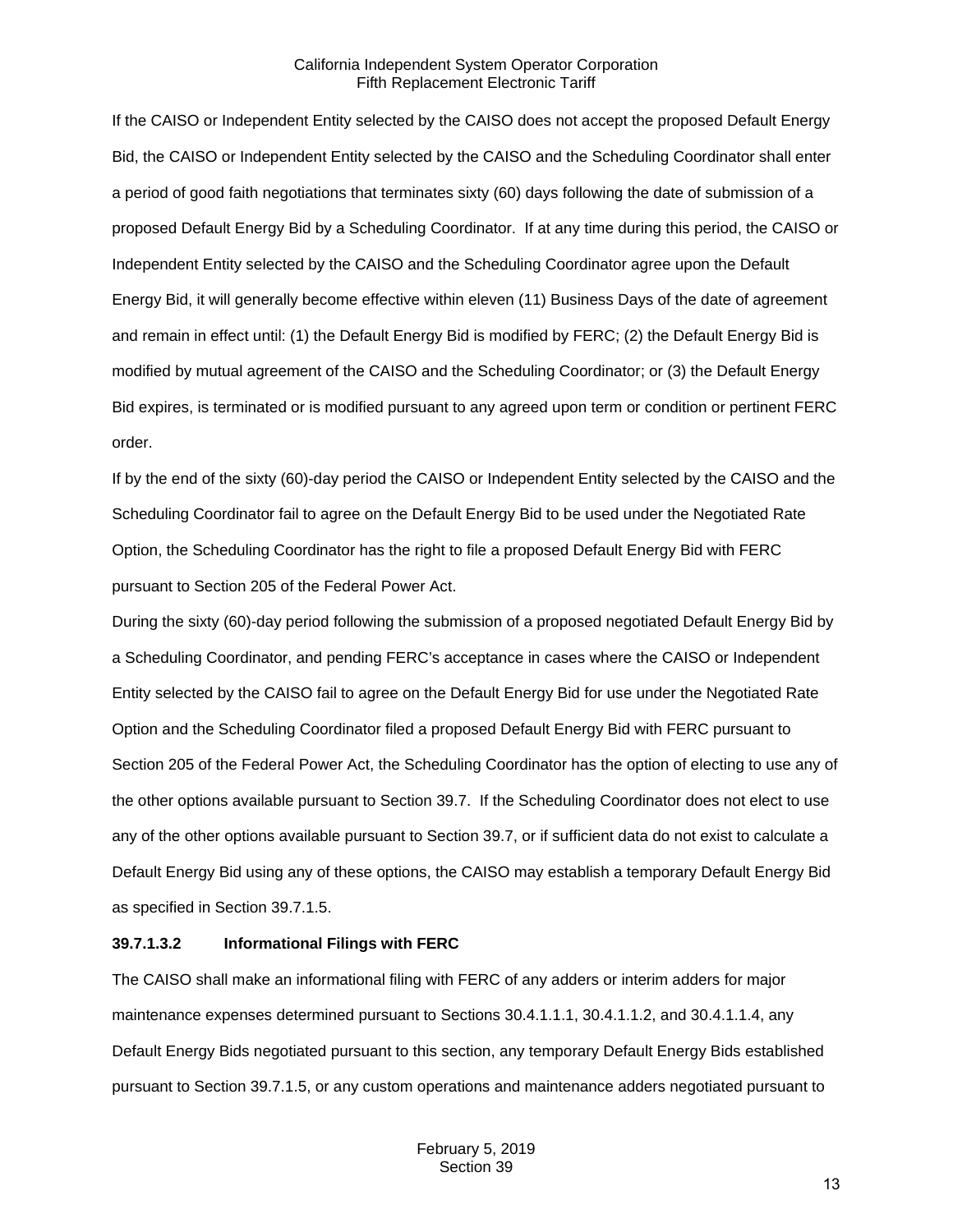If the CAISO or Independent Entity selected by the CAISO does not accept the proposed Default Energy Bid, the CAISO or Independent Entity selected by the CAISO and the Scheduling Coordinator shall enter a period of good faith negotiations that terminates sixty (60) days following the date of submission of a proposed Default Energy Bid by a Scheduling Coordinator. If at any time during this period, the CAISO or Independent Entity selected by the CAISO and the Scheduling Coordinator agree upon the Default Energy Bid, it will generally become effective within eleven (11) Business Days of the date of agreement and remain in effect until: (1) the Default Energy Bid is modified by FERC; (2) the Default Energy Bid is modified by mutual agreement of the CAISO and the Scheduling Coordinator; or (3) the Default Energy Bid expires, is terminated or is modified pursuant to any agreed upon term or condition or pertinent FERC order.

If by the end of the sixty (60)-day period the CAISO or Independent Entity selected by the CAISO and the Scheduling Coordinator fail to agree on the Default Energy Bid to be used under the Negotiated Rate Option, the Scheduling Coordinator has the right to file a proposed Default Energy Bid with FERC pursuant to Section 205 of the Federal Power Act.

During the sixty (60)-day period following the submission of a proposed negotiated Default Energy Bid by a Scheduling Coordinator, and pending FERC's acceptance in cases where the CAISO or Independent Entity selected by the CAISO fail to agree on the Default Energy Bid for use under the Negotiated Rate Option and the Scheduling Coordinator filed a proposed Default Energy Bid with FERC pursuant to Section 205 of the Federal Power Act, the Scheduling Coordinator has the option of electing to use any of the other options available pursuant to Section 39.7. If the Scheduling Coordinator does not elect to use any of the other options available pursuant to Section 39.7, or if sufficient data do not exist to calculate a Default Energy Bid using any of these options, the CAISO may establish a temporary Default Energy Bid as specified in Section 39.7.1.5.

#### **39.7.1.3.2 Informational Filings with FERC**

The CAISO shall make an informational filing with FERC of any adders or interim adders for major maintenance expenses determined pursuant to Sections 30.4.1.1.1, 30.4.1.1.2, and 30.4.1.1.4, any Default Energy Bids negotiated pursuant to this section, any temporary Default Energy Bids established pursuant to Section 39.7.1.5, or any custom operations and maintenance adders negotiated pursuant to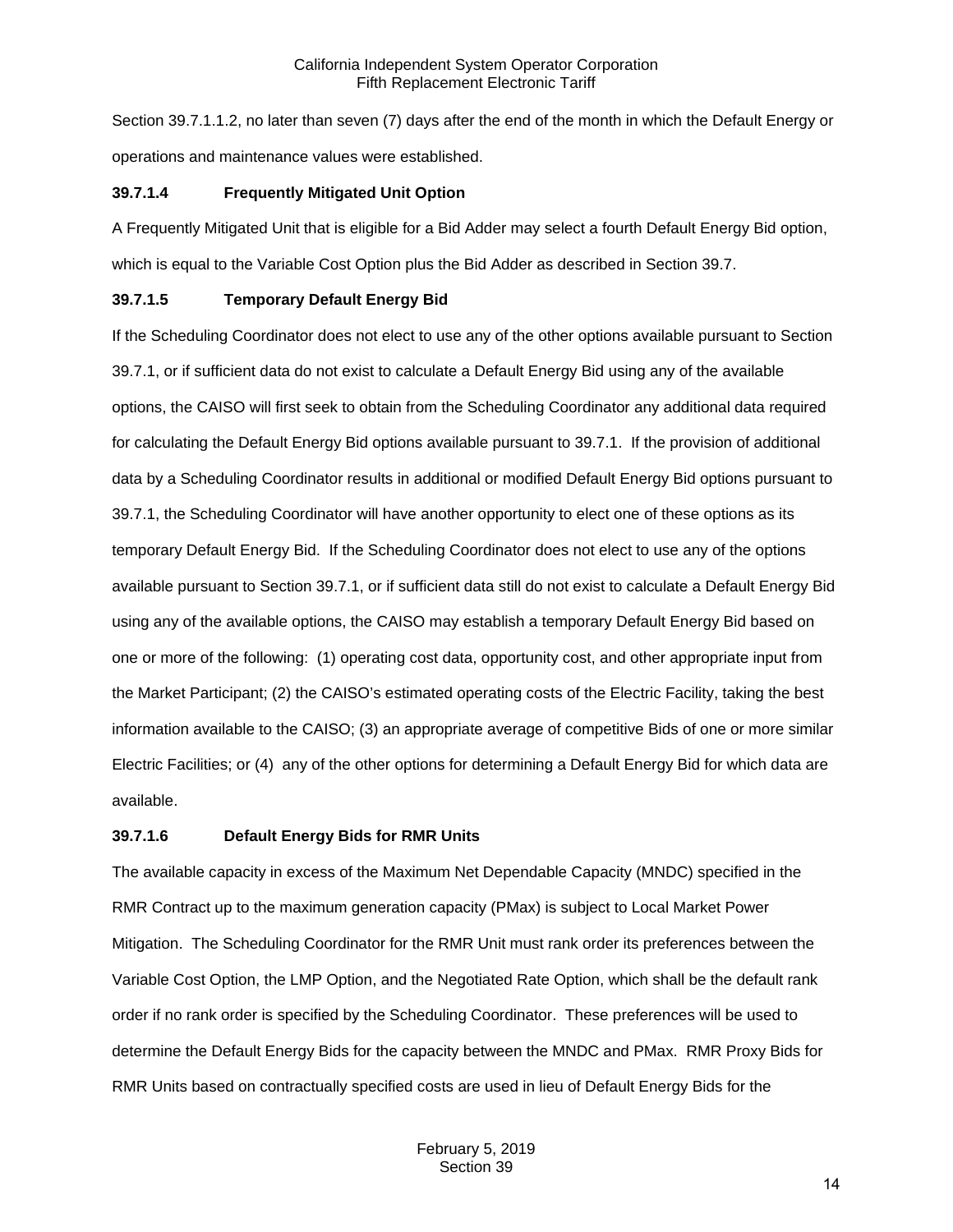Section 39.7.1.1.2, no later than seven (7) days after the end of the month in which the Default Energy or operations and maintenance values were established.

### **39.7.1.4 Frequently Mitigated Unit Option**

A Frequently Mitigated Unit that is eligible for a Bid Adder may select a fourth Default Energy Bid option, which is equal to the Variable Cost Option plus the Bid Adder as described in Section 39.7.

## **39.7.1.5 Temporary Default Energy Bid**

If the Scheduling Coordinator does not elect to use any of the other options available pursuant to Section 39.7.1, or if sufficient data do not exist to calculate a Default Energy Bid using any of the available options, the CAISO will first seek to obtain from the Scheduling Coordinator any additional data required for calculating the Default Energy Bid options available pursuant to 39.7.1. If the provision of additional data by a Scheduling Coordinator results in additional or modified Default Energy Bid options pursuant to 39.7.1, the Scheduling Coordinator will have another opportunity to elect one of these options as its temporary Default Energy Bid. If the Scheduling Coordinator does not elect to use any of the options available pursuant to Section 39.7.1, or if sufficient data still do not exist to calculate a Default Energy Bid using any of the available options, the CAISO may establish a temporary Default Energy Bid based on one or more of the following: (1) operating cost data, opportunity cost, and other appropriate input from the Market Participant; (2) the CAISO's estimated operating costs of the Electric Facility, taking the best information available to the CAISO; (3) an appropriate average of competitive Bids of one or more similar Electric Facilities; or (4) any of the other options for determining a Default Energy Bid for which data are available.

#### **39.7.1.6 Default Energy Bids for RMR Units**

The available capacity in excess of the Maximum Net Dependable Capacity (MNDC) specified in the RMR Contract up to the maximum generation capacity (PMax) is subject to Local Market Power Mitigation. The Scheduling Coordinator for the RMR Unit must rank order its preferences between the Variable Cost Option, the LMP Option, and the Negotiated Rate Option, which shall be the default rank order if no rank order is specified by the Scheduling Coordinator. These preferences will be used to determine the Default Energy Bids for the capacity between the MNDC and PMax. RMR Proxy Bids for RMR Units based on contractually specified costs are used in lieu of Default Energy Bids for the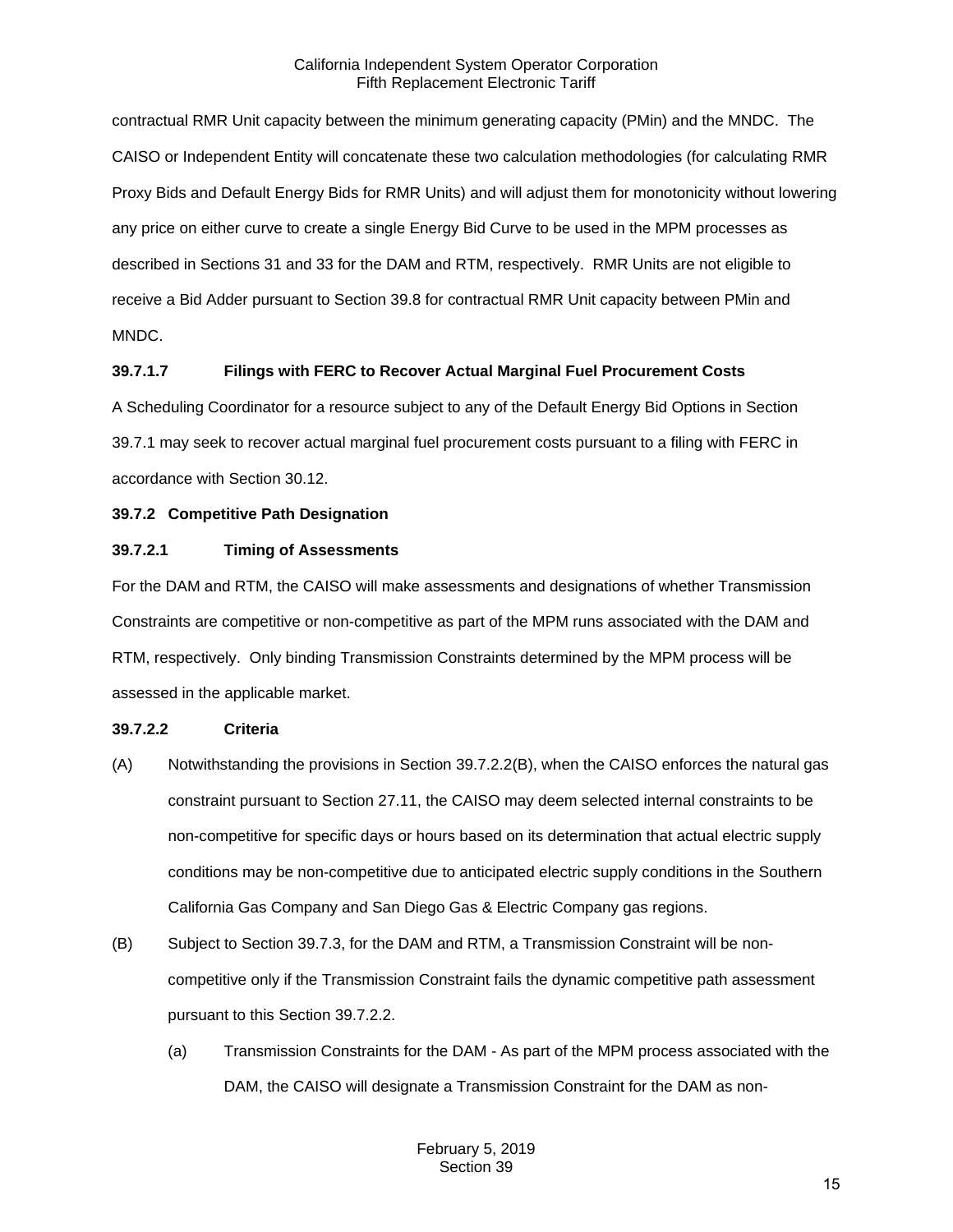contractual RMR Unit capacity between the minimum generating capacity (PMin) and the MNDC. The CAISO or Independent Entity will concatenate these two calculation methodologies (for calculating RMR Proxy Bids and Default Energy Bids for RMR Units) and will adjust them for monotonicity without lowering any price on either curve to create a single Energy Bid Curve to be used in the MPM processes as described in Sections 31 and 33 for the DAM and RTM, respectively. RMR Units are not eligible to receive a Bid Adder pursuant to Section 39.8 for contractual RMR Unit capacity between PMin and MNDC.

## **39.7.1.7 Filings with FERC to Recover Actual Marginal Fuel Procurement Costs**

A Scheduling Coordinator for a resource subject to any of the Default Energy Bid Options in Section 39.7.1 may seek to recover actual marginal fuel procurement costs pursuant to a filing with FERC in accordance with Section 30.12.

## <span id="page-14-0"></span>**39.7.2 Competitive Path Designation**

## **39.7.2.1 Timing of Assessments**

For the DAM and RTM, the CAISO will make assessments and designations of whether Transmission Constraints are competitive or non-competitive as part of the MPM runs associated with the DAM and RTM, respectively. Only binding Transmission Constraints determined by the MPM process will be assessed in the applicable market.

## **39.7.2.2 Criteria**

- (A) Notwithstanding the provisions in Section 39.7.2.2(B), when the CAISO enforces the natural gas constraint pursuant to Section 27.11, the CAISO may deem selected internal constraints to be non-competitive for specific days or hours based on its determination that actual electric supply conditions may be non-competitive due to anticipated electric supply conditions in the Southern California Gas Company and San Diego Gas & Electric Company gas regions.
- (B) Subject to Section 39.7.3, for the DAM and RTM, a Transmission Constraint will be noncompetitive only if the Transmission Constraint fails the dynamic competitive path assessment pursuant to this Section 39.7.2.2.
	- (a) Transmission Constraints for the DAM As part of the MPM process associated with the DAM, the CAISO will designate a Transmission Constraint for the DAM as non-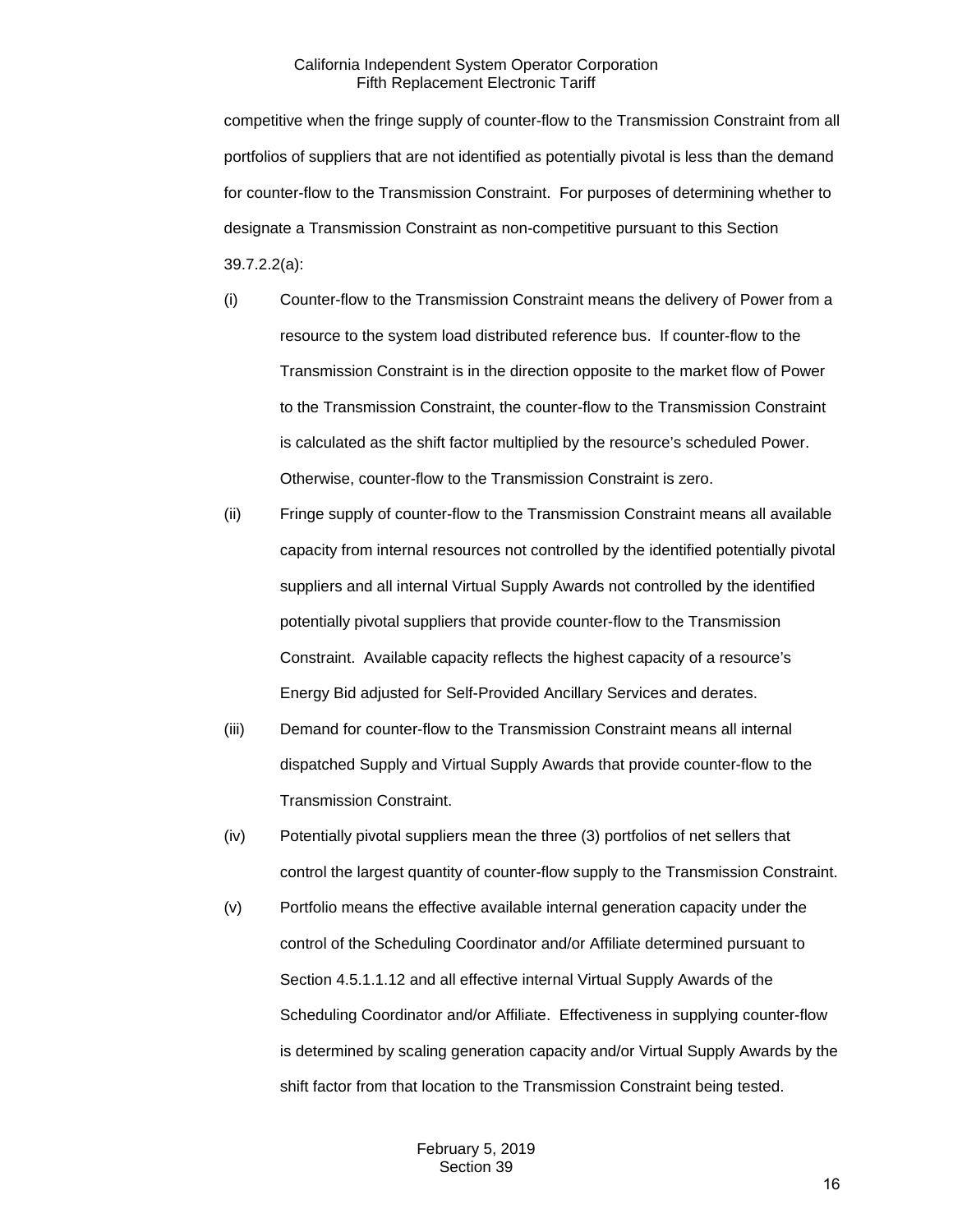competitive when the fringe supply of counter-flow to the Transmission Constraint from all portfolios of suppliers that are not identified as potentially pivotal is less than the demand for counter-flow to the Transmission Constraint. For purposes of determining whether to designate a Transmission Constraint as non-competitive pursuant to this Section 39.7.2.2(a):

- (i) Counter-flow to the Transmission Constraint means the delivery of Power from a resource to the system load distributed reference bus. If counter-flow to the Transmission Constraint is in the direction opposite to the market flow of Power to the Transmission Constraint, the counter-flow to the Transmission Constraint is calculated as the shift factor multiplied by the resource's scheduled Power. Otherwise, counter-flow to the Transmission Constraint is zero.
- (ii) Fringe supply of counter-flow to the Transmission Constraint means all available capacity from internal resources not controlled by the identified potentially pivotal suppliers and all internal Virtual Supply Awards not controlled by the identified potentially pivotal suppliers that provide counter-flow to the Transmission Constraint. Available capacity reflects the highest capacity of a resource's Energy Bid adjusted for Self-Provided Ancillary Services and derates.
- (iii) Demand for counter-flow to the Transmission Constraint means all internal dispatched Supply and Virtual Supply Awards that provide counter-flow to the Transmission Constraint.
- (iv) Potentially pivotal suppliers mean the three (3) portfolios of net sellers that control the largest quantity of counter-flow supply to the Transmission Constraint.
- (v) Portfolio means the effective available internal generation capacity under the control of the Scheduling Coordinator and/or Affiliate determined pursuant to Section 4.5.1.1.12 and all effective internal Virtual Supply Awards of the Scheduling Coordinator and/or Affiliate. Effectiveness in supplying counter-flow is determined by scaling generation capacity and/or Virtual Supply Awards by the shift factor from that location to the Transmission Constraint being tested.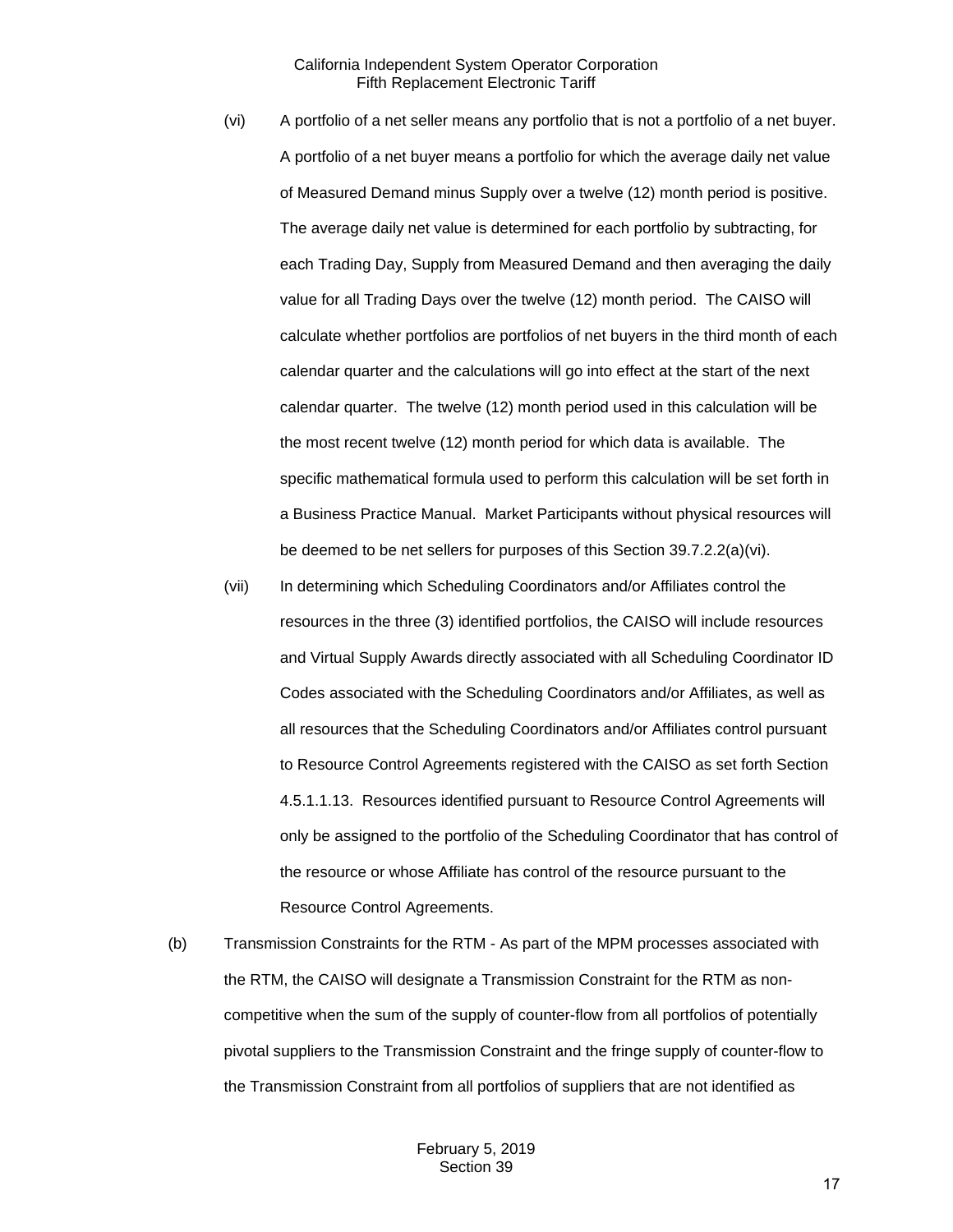- (vi) A portfolio of a net seller means any portfolio that is not a portfolio of a net buyer. A portfolio of a net buyer means a portfolio for which the average daily net value of Measured Demand minus Supply over a twelve (12) month period is positive. The average daily net value is determined for each portfolio by subtracting, for each Trading Day, Supply from Measured Demand and then averaging the daily value for all Trading Days over the twelve (12) month period. The CAISO will calculate whether portfolios are portfolios of net buyers in the third month of each calendar quarter and the calculations will go into effect at the start of the next calendar quarter. The twelve (12) month period used in this calculation will be the most recent twelve (12) month period for which data is available. The specific mathematical formula used to perform this calculation will be set forth in a Business Practice Manual. Market Participants without physical resources will be deemed to be net sellers for purposes of this Section 39.7.2.2(a)(vi).
- (vii) In determining which Scheduling Coordinators and/or Affiliates control the resources in the three (3) identified portfolios, the CAISO will include resources and Virtual Supply Awards directly associated with all Scheduling Coordinator ID Codes associated with the Scheduling Coordinators and/or Affiliates, as well as all resources that the Scheduling Coordinators and/or Affiliates control pursuant to Resource Control Agreements registered with the CAISO as set forth Section 4.5.1.1.13. Resources identified pursuant to Resource Control Agreements will only be assigned to the portfolio of the Scheduling Coordinator that has control of the resource or whose Affiliate has control of the resource pursuant to the Resource Control Agreements.
- (b) Transmission Constraints for the RTM As part of the MPM processes associated with the RTM, the CAISO will designate a Transmission Constraint for the RTM as noncompetitive when the sum of the supply of counter-flow from all portfolios of potentially pivotal suppliers to the Transmission Constraint and the fringe supply of counter-flow to the Transmission Constraint from all portfolios of suppliers that are not identified as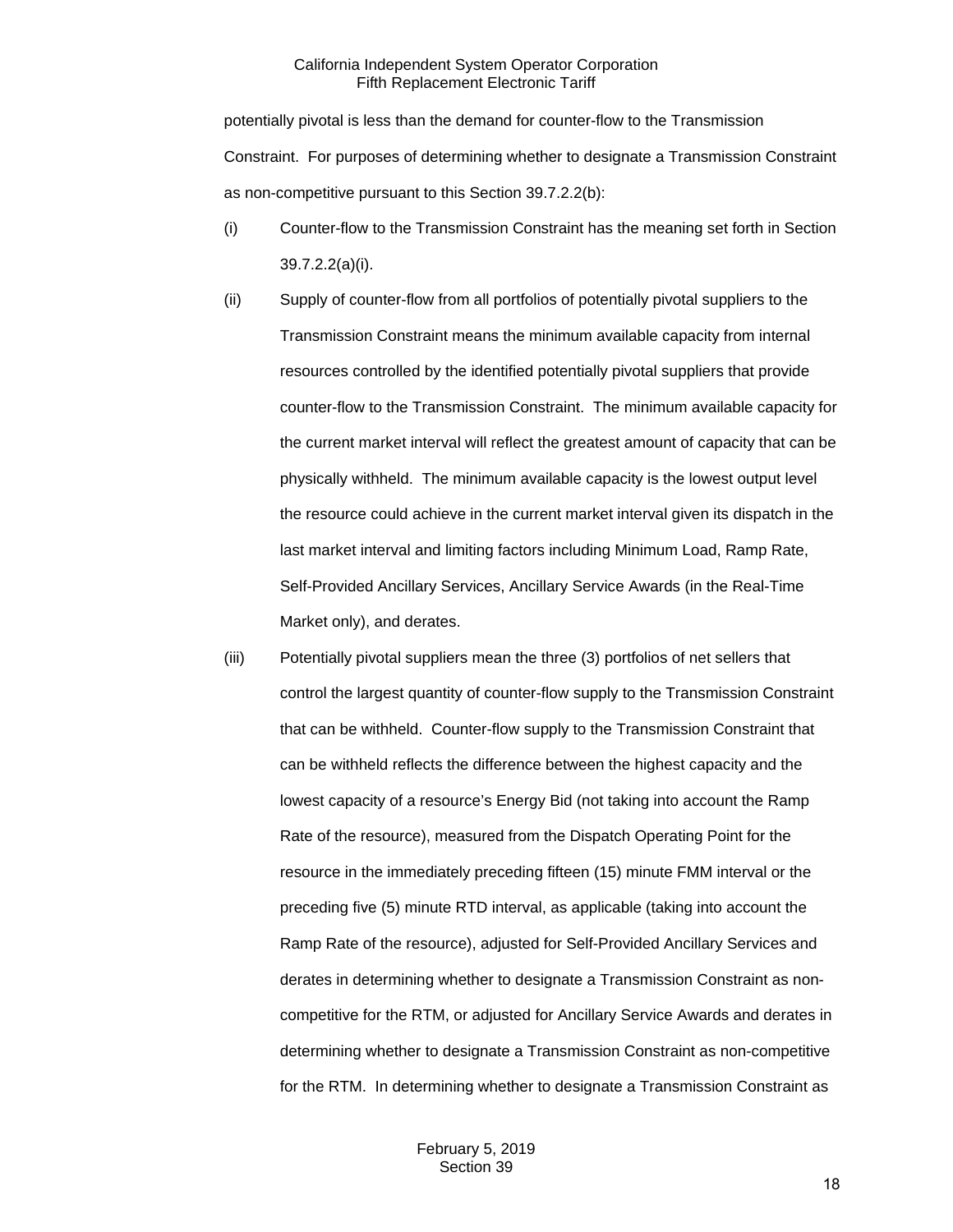potentially pivotal is less than the demand for counter-flow to the Transmission Constraint. For purposes of determining whether to designate a Transmission Constraint as non-competitive pursuant to this Section 39.7.2.2(b):

- (i) Counter-flow to the Transmission Constraint has the meaning set forth in Section 39.7.2.2(a)(i).
- (ii) Supply of counter-flow from all portfolios of potentially pivotal suppliers to the Transmission Constraint means the minimum available capacity from internal resources controlled by the identified potentially pivotal suppliers that provide counter-flow to the Transmission Constraint. The minimum available capacity for the current market interval will reflect the greatest amount of capacity that can be physically withheld. The minimum available capacity is the lowest output level the resource could achieve in the current market interval given its dispatch in the last market interval and limiting factors including Minimum Load, Ramp Rate, Self-Provided Ancillary Services, Ancillary Service Awards (in the Real-Time Market only), and derates.
- (iii) Potentially pivotal suppliers mean the three (3) portfolios of net sellers that control the largest quantity of counter-flow supply to the Transmission Constraint that can be withheld. Counter-flow supply to the Transmission Constraint that can be withheld reflects the difference between the highest capacity and the lowest capacity of a resource's Energy Bid (not taking into account the Ramp Rate of the resource), measured from the Dispatch Operating Point for the resource in the immediately preceding fifteen (15) minute FMM interval or the preceding five (5) minute RTD interval, as applicable (taking into account the Ramp Rate of the resource), adjusted for Self-Provided Ancillary Services and derates in determining whether to designate a Transmission Constraint as noncompetitive for the RTM, or adjusted for Ancillary Service Awards and derates in determining whether to designate a Transmission Constraint as non-competitive for the RTM. In determining whether to designate a Transmission Constraint as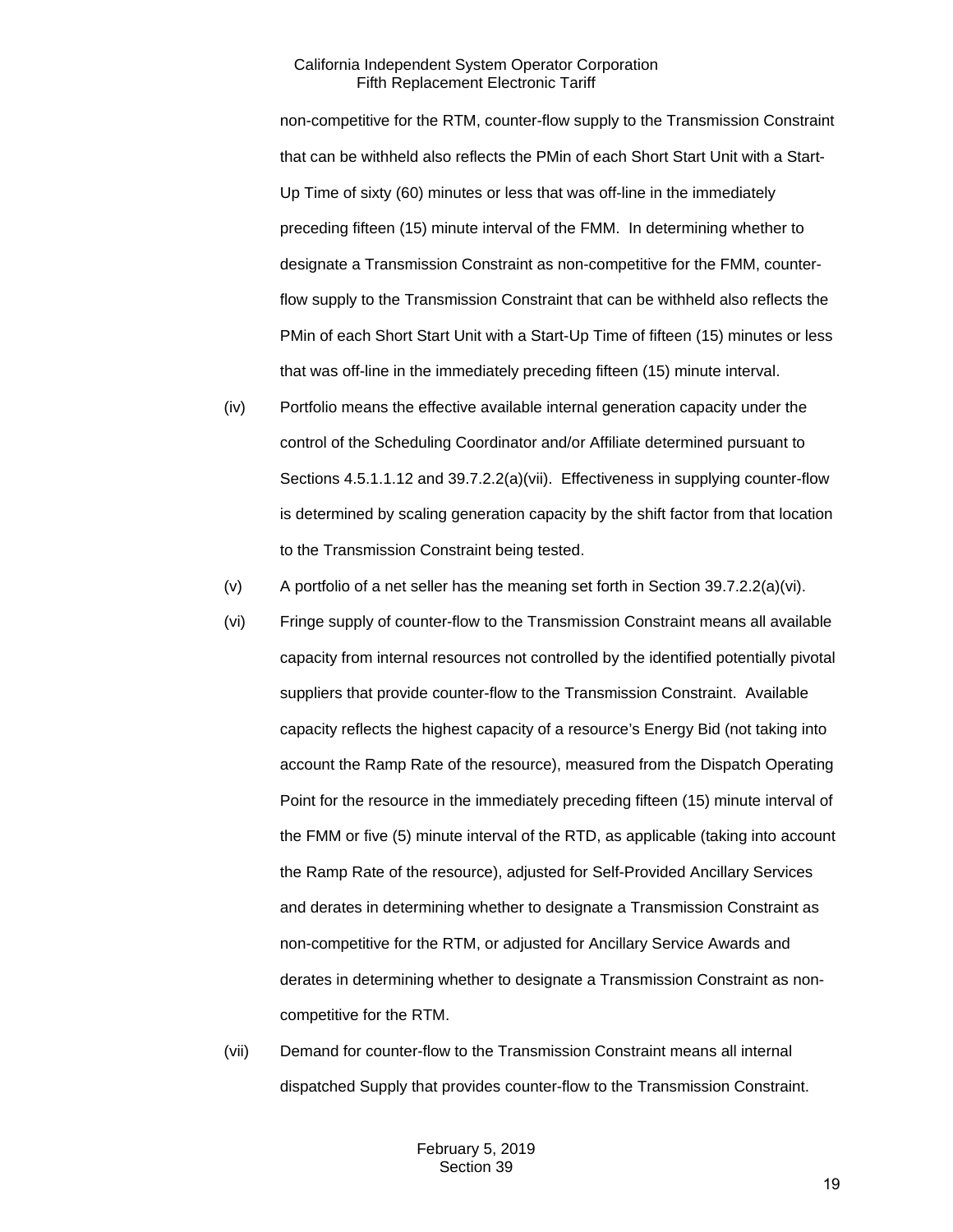non-competitive for the RTM, counter-flow supply to the Transmission Constraint that can be withheld also reflects the PMin of each Short Start Unit with a Start-Up Time of sixty (60) minutes or less that was off-line in the immediately preceding fifteen (15) minute interval of the FMM. In determining whether to designate a Transmission Constraint as non-competitive for the FMM, counterflow supply to the Transmission Constraint that can be withheld also reflects the PMin of each Short Start Unit with a Start-Up Time of fifteen (15) minutes or less that was off-line in the immediately preceding fifteen (15) minute interval.

- (iv) Portfolio means the effective available internal generation capacity under the control of the Scheduling Coordinator and/or Affiliate determined pursuant to Sections 4.5.1.1.12 and 39.7.2.2(a)(vii). Effectiveness in supplying counter-flow is determined by scaling generation capacity by the shift factor from that location to the Transmission Constraint being tested.
- (v) A portfolio of a net seller has the meaning set forth in Section 39.7.2.2(a)(vi).
- (vi) Fringe supply of counter-flow to the Transmission Constraint means all available capacity from internal resources not controlled by the identified potentially pivotal suppliers that provide counter-flow to the Transmission Constraint. Available capacity reflects the highest capacity of a resource's Energy Bid (not taking into account the Ramp Rate of the resource), measured from the Dispatch Operating Point for the resource in the immediately preceding fifteen (15) minute interval of the FMM or five (5) minute interval of the RTD, as applicable (taking into account the Ramp Rate of the resource), adjusted for Self-Provided Ancillary Services and derates in determining whether to designate a Transmission Constraint as non-competitive for the RTM, or adjusted for Ancillary Service Awards and derates in determining whether to designate a Transmission Constraint as noncompetitive for the RTM.
- (vii) Demand for counter-flow to the Transmission Constraint means all internal dispatched Supply that provides counter-flow to the Transmission Constraint.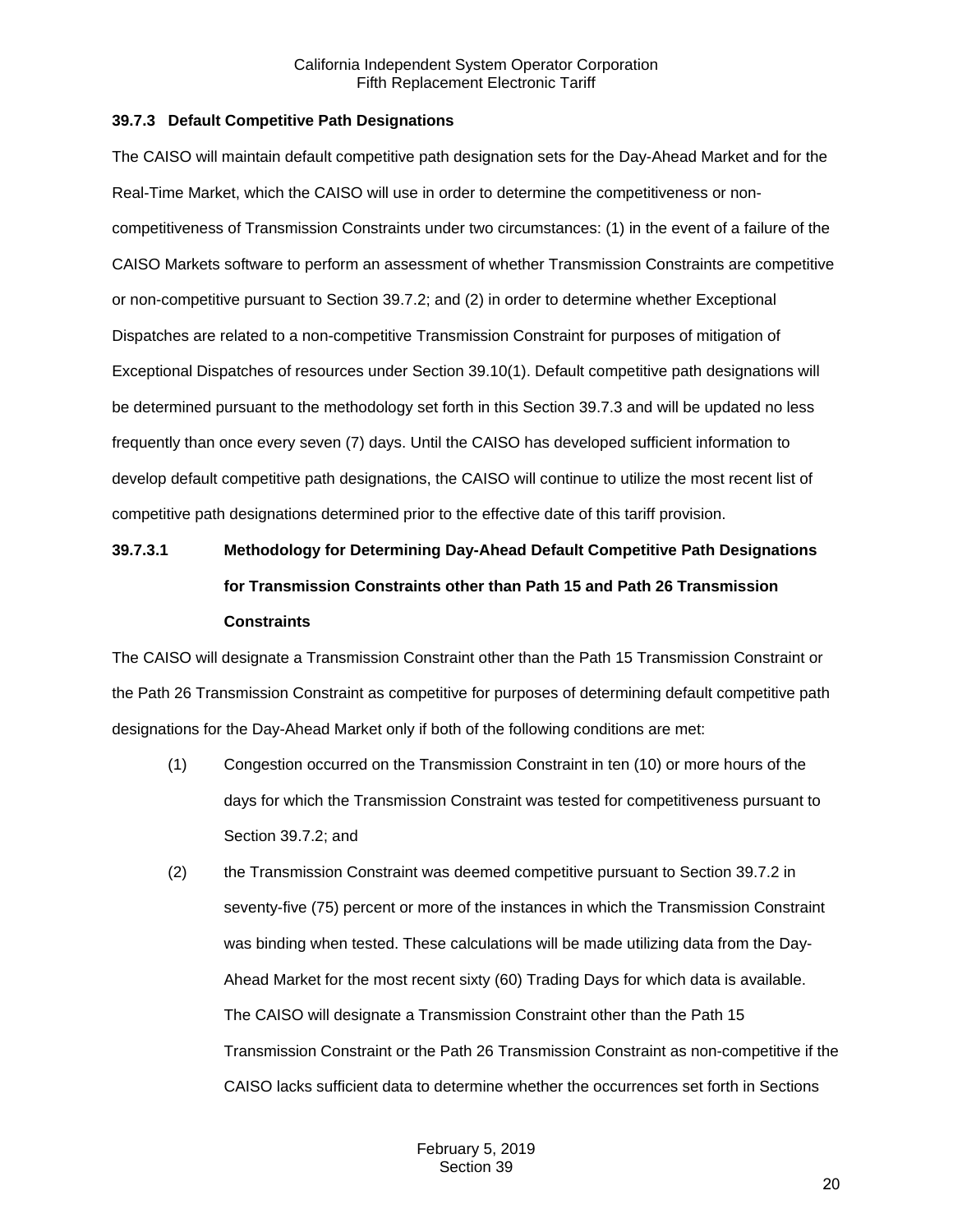### <span id="page-19-0"></span>**39.7.3 Default Competitive Path Designations**

The CAISO will maintain default competitive path designation sets for the Day-Ahead Market and for the Real-Time Market, which the CAISO will use in order to determine the competitiveness or noncompetitiveness of Transmission Constraints under two circumstances: (1) in the event of a failure of the CAISO Markets software to perform an assessment of whether Transmission Constraints are competitive or non-competitive pursuant to Section 39.7.2; and (2) in order to determine whether Exceptional Dispatches are related to a non-competitive Transmission Constraint for purposes of mitigation of Exceptional Dispatches of resources under Section 39.10(1). Default competitive path designations will be determined pursuant to the methodology set forth in this Section 39.7.3 and will be updated no less frequently than once every seven (7) days. Until the CAISO has developed sufficient information to develop default competitive path designations, the CAISO will continue to utilize the most recent list of competitive path designations determined prior to the effective date of this tariff provision.

# **39.7.3.1 Methodology for Determining Day-Ahead Default Competitive Path Designations for Transmission Constraints other than Path 15 and Path 26 Transmission Constraints**

The CAISO will designate a Transmission Constraint other than the Path 15 Transmission Constraint or the Path 26 Transmission Constraint as competitive for purposes of determining default competitive path designations for the Day-Ahead Market only if both of the following conditions are met:

- (1) Congestion occurred on the Transmission Constraint in ten (10) or more hours of the days for which the Transmission Constraint was tested for competitiveness pursuant to Section 39.7.2; and
- (2) the Transmission Constraint was deemed competitive pursuant to Section 39.7.2 in seventy-five (75) percent or more of the instances in which the Transmission Constraint was binding when tested. These calculations will be made utilizing data from the Day-Ahead Market for the most recent sixty (60) Trading Days for which data is available. The CAISO will designate a Transmission Constraint other than the Path 15 Transmission Constraint or the Path 26 Transmission Constraint as non-competitive if the CAISO lacks sufficient data to determine whether the occurrences set forth in Sections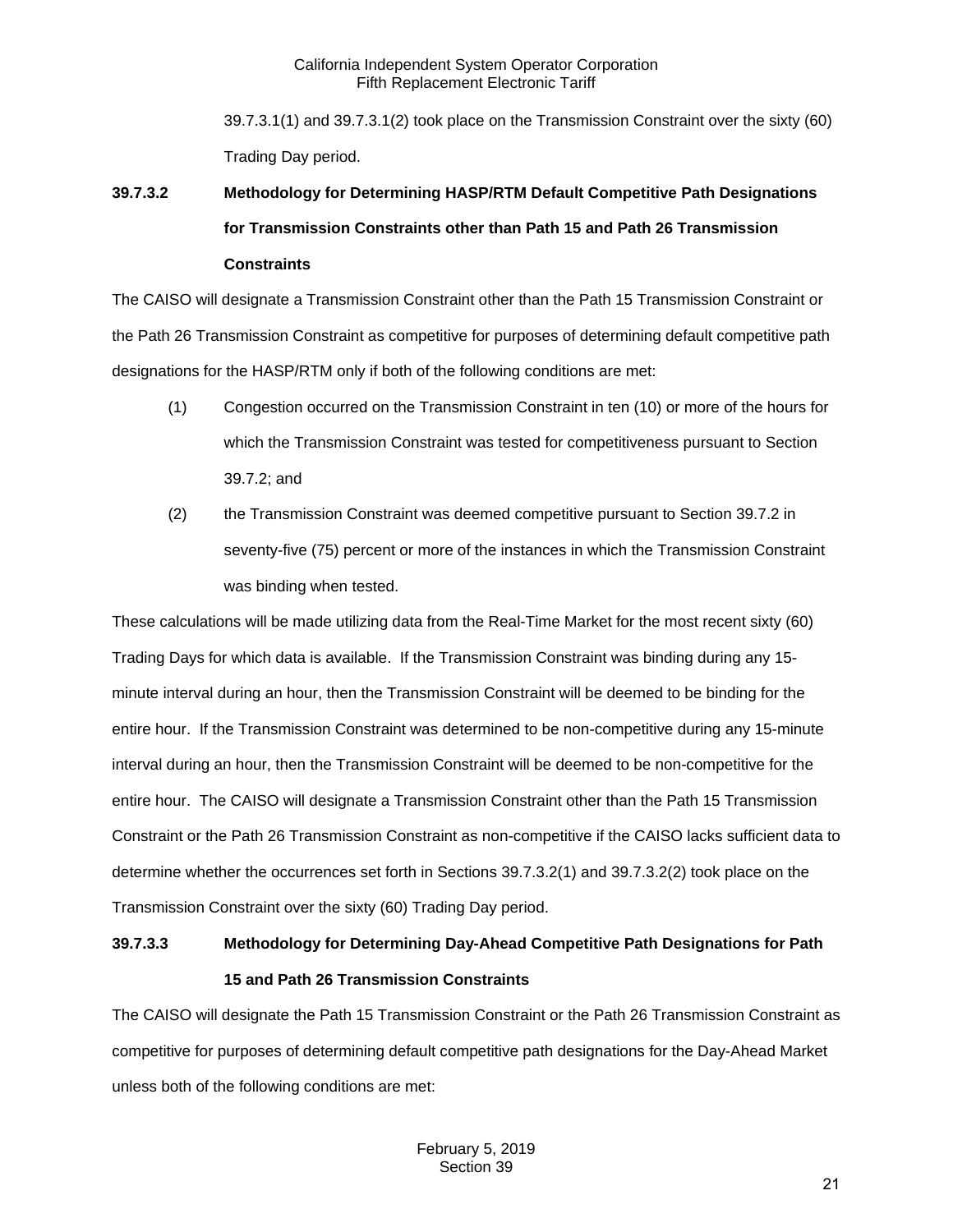39.7.3.1(1) and 39.7.3.1(2) took place on the Transmission Constraint over the sixty (60) Trading Day period.

# **39.7.3.2 Methodology for Determining HASP/RTM Default Competitive Path Designations for Transmission Constraints other than Path 15 and Path 26 Transmission Constraints**

The CAISO will designate a Transmission Constraint other than the Path 15 Transmission Constraint or the Path 26 Transmission Constraint as competitive for purposes of determining default competitive path designations for the HASP/RTM only if both of the following conditions are met:

- (1) Congestion occurred on the Transmission Constraint in ten (10) or more of the hours for which the Transmission Constraint was tested for competitiveness pursuant to Section 39.7.2; and
- (2) the Transmission Constraint was deemed competitive pursuant to Section 39.7.2 in seventy-five (75) percent or more of the instances in which the Transmission Constraint was binding when tested.

These calculations will be made utilizing data from the Real-Time Market for the most recent sixty (60) Trading Days for which data is available. If the Transmission Constraint was binding during any 15 minute interval during an hour, then the Transmission Constraint will be deemed to be binding for the entire hour. If the Transmission Constraint was determined to be non-competitive during any 15-minute interval during an hour, then the Transmission Constraint will be deemed to be non-competitive for the entire hour. The CAISO will designate a Transmission Constraint other than the Path 15 Transmission Constraint or the Path 26 Transmission Constraint as non-competitive if the CAISO lacks sufficient data to determine whether the occurrences set forth in Sections 39.7.3.2(1) and 39.7.3.2(2) took place on the Transmission Constraint over the sixty (60) Trading Day period.

# **39.7.3.3 Methodology for Determining Day-Ahead Competitive Path Designations for Path 15 and Path 26 Transmission Constraints**

The CAISO will designate the Path 15 Transmission Constraint or the Path 26 Transmission Constraint as competitive for purposes of determining default competitive path designations for the Day-Ahead Market unless both of the following conditions are met: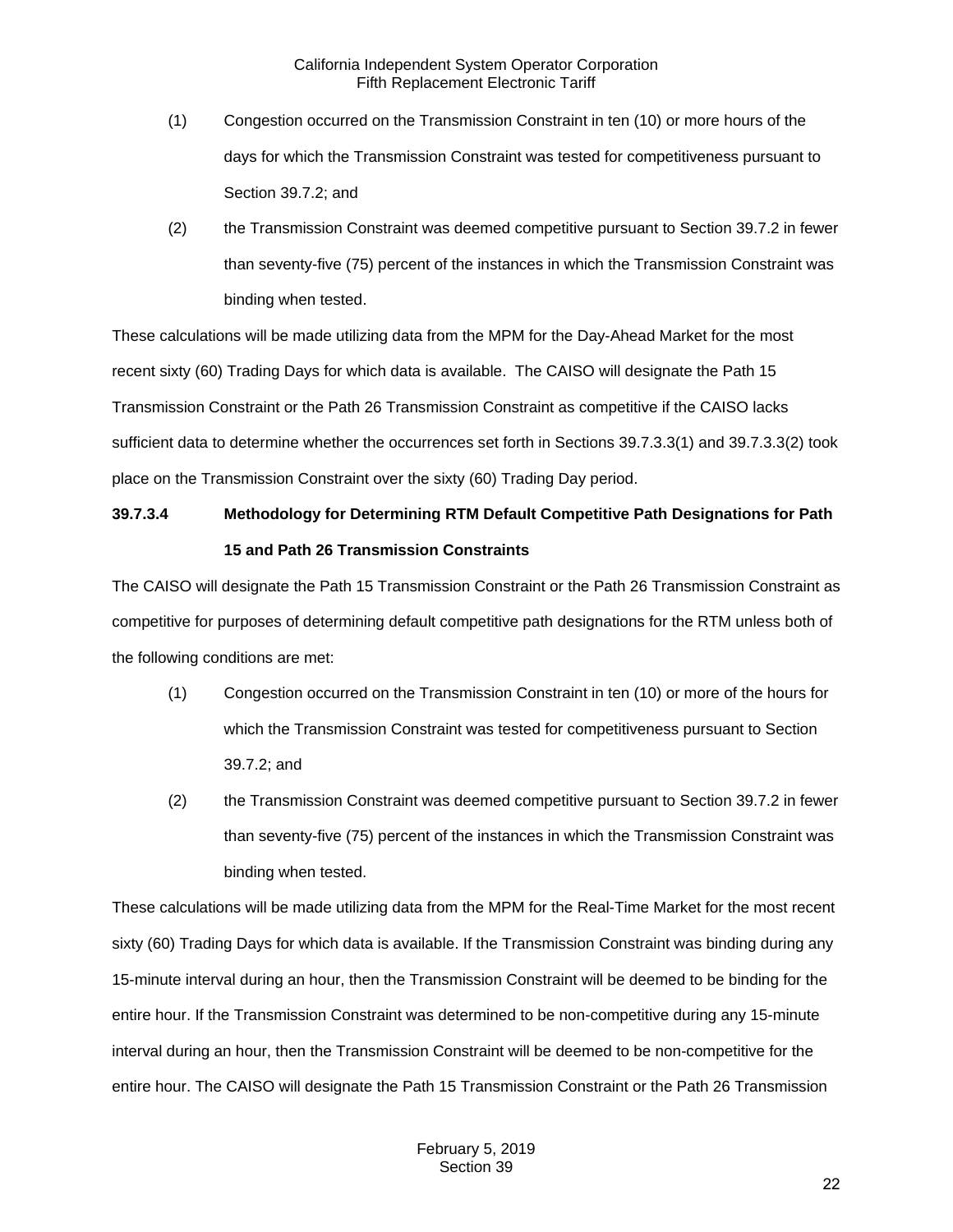- (1) Congestion occurred on the Transmission Constraint in ten (10) or more hours of the days for which the Transmission Constraint was tested for competitiveness pursuant to Section 39.7.2; and
- (2) the Transmission Constraint was deemed competitive pursuant to Section 39.7.2 in fewer than seventy-five (75) percent of the instances in which the Transmission Constraint was binding when tested.

These calculations will be made utilizing data from the MPM for the Day-Ahead Market for the most recent sixty (60) Trading Days for which data is available. The CAISO will designate the Path 15 Transmission Constraint or the Path 26 Transmission Constraint as competitive if the CAISO lacks sufficient data to determine whether the occurrences set forth in Sections 39.7.3.3(1) and 39.7.3.3(2) took place on the Transmission Constraint over the sixty (60) Trading Day period.

# **39.7.3.4 Methodology for Determining RTM Default Competitive Path Designations for Path 15 and Path 26 Transmission Constraints**

The CAISO will designate the Path 15 Transmission Constraint or the Path 26 Transmission Constraint as competitive for purposes of determining default competitive path designations for the RTM unless both of the following conditions are met:

- (1) Congestion occurred on the Transmission Constraint in ten (10) or more of the hours for which the Transmission Constraint was tested for competitiveness pursuant to Section 39.7.2; and
- (2) the Transmission Constraint was deemed competitive pursuant to Section 39.7.2 in fewer than seventy-five (75) percent of the instances in which the Transmission Constraint was binding when tested.

These calculations will be made utilizing data from the MPM for the Real-Time Market for the most recent sixty (60) Trading Days for which data is available. If the Transmission Constraint was binding during any 15-minute interval during an hour, then the Transmission Constraint will be deemed to be binding for the entire hour. If the Transmission Constraint was determined to be non-competitive during any 15-minute interval during an hour, then the Transmission Constraint will be deemed to be non-competitive for the entire hour. The CAISO will designate the Path 15 Transmission Constraint or the Path 26 Transmission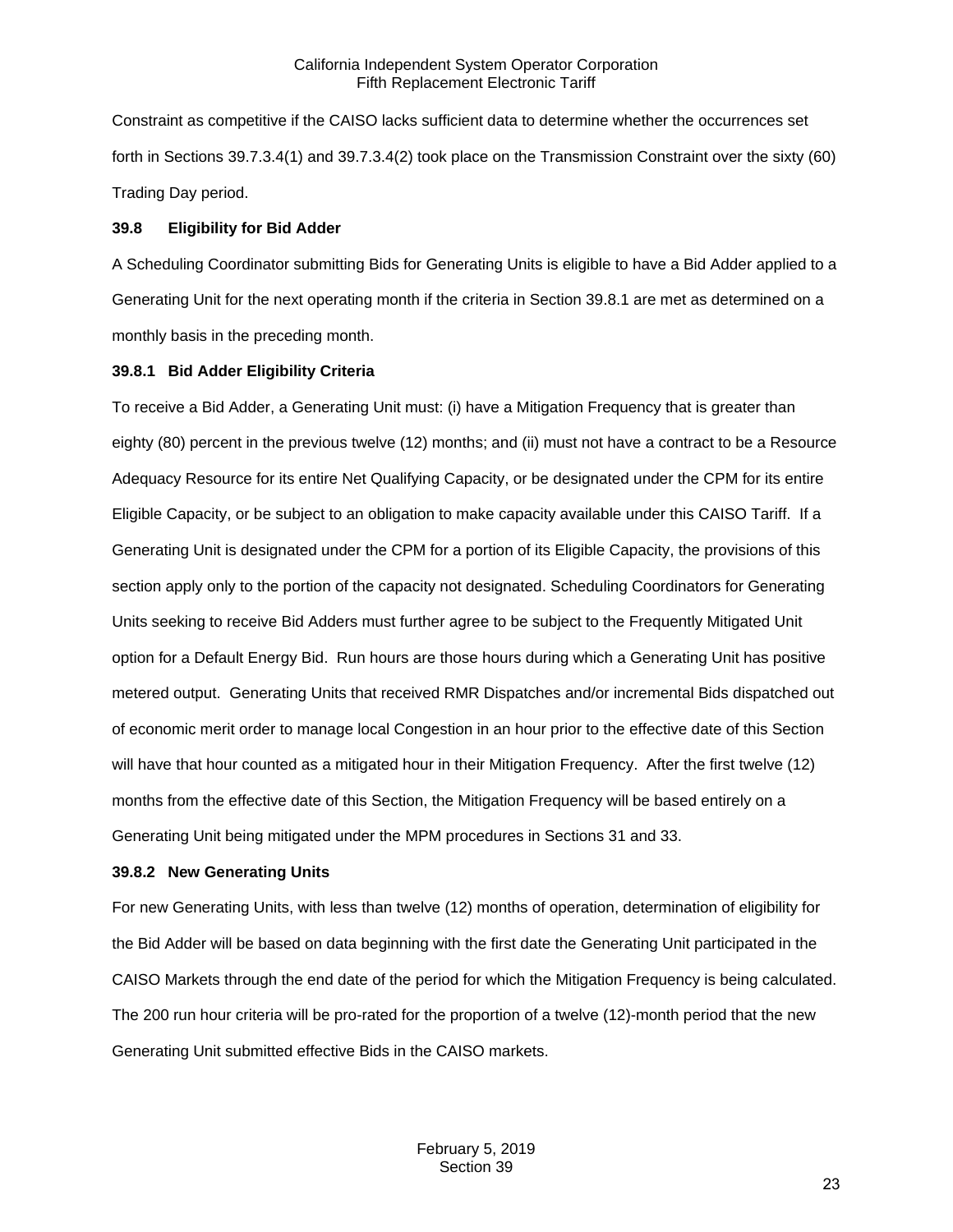Constraint as competitive if the CAISO lacks sufficient data to determine whether the occurrences set forth in Sections 39.7.3.4(1) and 39.7.3.4(2) took place on the Transmission Constraint over the sixty (60) Trading Day period.

#### <span id="page-22-0"></span>**39.8 Eligibility for Bid Adder**

A Scheduling Coordinator submitting Bids for Generating Units is eligible to have a Bid Adder applied to a Generating Unit for the next operating month if the criteria in Section 39.8.1 are met as determined on a monthly basis in the preceding month.

#### <span id="page-22-1"></span>**39.8.1 Bid Adder Eligibility Criteria**

To receive a Bid Adder, a Generating Unit must: (i) have a Mitigation Frequency that is greater than eighty (80) percent in the previous twelve (12) months; and (ii) must not have a contract to be a Resource Adequacy Resource for its entire Net Qualifying Capacity, or be designated under the CPM for its entire Eligible Capacity, or be subject to an obligation to make capacity available under this CAISO Tariff. If a Generating Unit is designated under the CPM for a portion of its Eligible Capacity, the provisions of this section apply only to the portion of the capacity not designated. Scheduling Coordinators for Generating Units seeking to receive Bid Adders must further agree to be subject to the Frequently Mitigated Unit option for a Default Energy Bid. Run hours are those hours during which a Generating Unit has positive metered output. Generating Units that received RMR Dispatches and/or incremental Bids dispatched out of economic merit order to manage local Congestion in an hour prior to the effective date of this Section will have that hour counted as a mitigated hour in their Mitigation Frequency. After the first twelve (12) months from the effective date of this Section, the Mitigation Frequency will be based entirely on a Generating Unit being mitigated under the MPM procedures in Sections 31 and 33.

#### <span id="page-22-2"></span>**39.8.2 New Generating Units**

For new Generating Units, with less than twelve (12) months of operation, determination of eligibility for the Bid Adder will be based on data beginning with the first date the Generating Unit participated in the CAISO Markets through the end date of the period for which the Mitigation Frequency is being calculated. The 200 run hour criteria will be pro-rated for the proportion of a twelve (12)-month period that the new Generating Unit submitted effective Bids in the CAISO markets.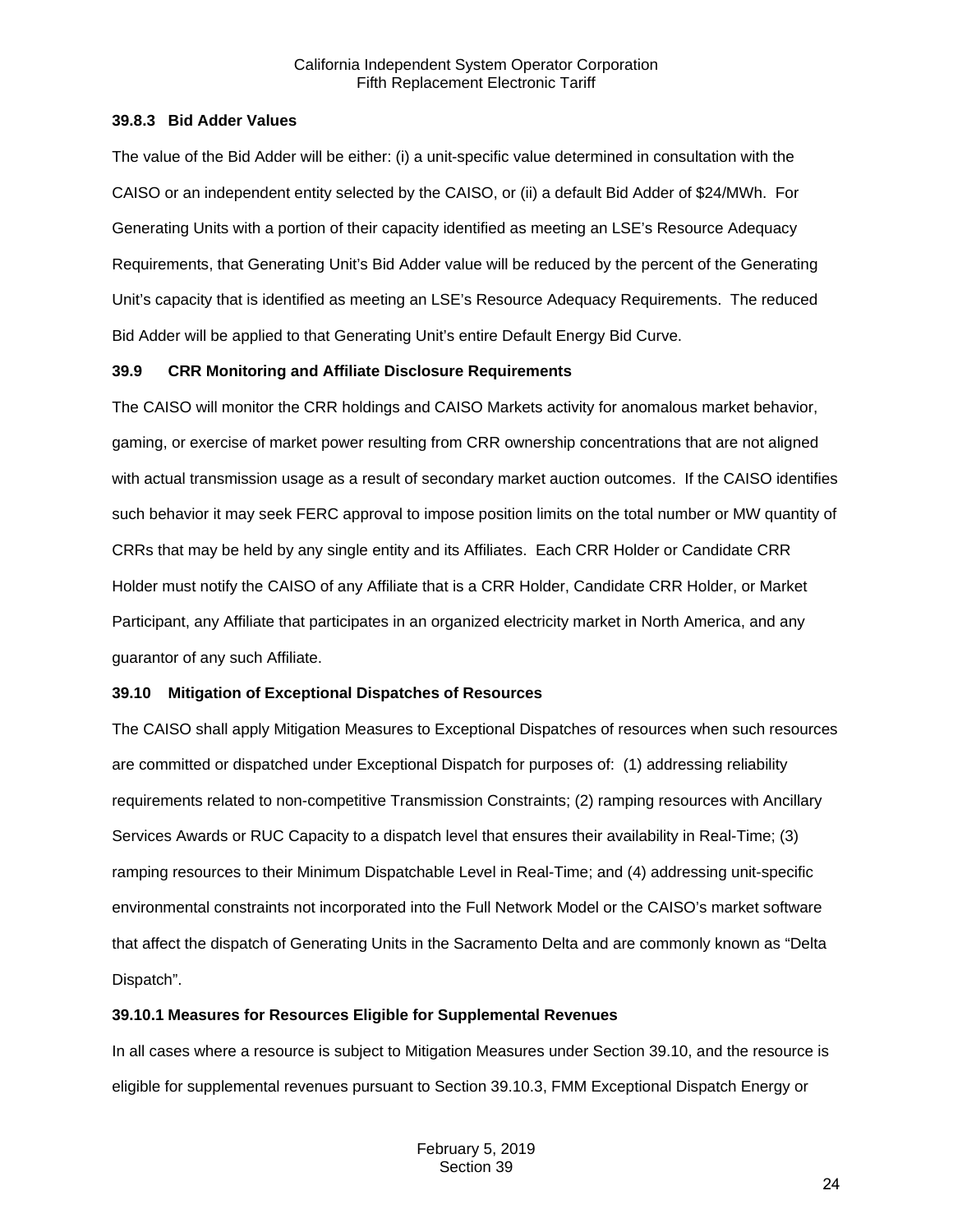### <span id="page-23-0"></span>**39.8.3 Bid Adder Values**

The value of the Bid Adder will be either: (i) a unit-specific value determined in consultation with the CAISO or an independent entity selected by the CAISO, or (ii) a default Bid Adder of \$24/MWh. For Generating Units with a portion of their capacity identified as meeting an LSE's Resource Adequacy Requirements, that Generating Unit's Bid Adder value will be reduced by the percent of the Generating Unit's capacity that is identified as meeting an LSE's Resource Adequacy Requirements. The reduced Bid Adder will be applied to that Generating Unit's entire Default Energy Bid Curve.

## <span id="page-23-1"></span>**39.9 CRR Monitoring and Affiliate Disclosure Requirements**

The CAISO will monitor the CRR holdings and CAISO Markets activity for anomalous market behavior, gaming, or exercise of market power resulting from CRR ownership concentrations that are not aligned with actual transmission usage as a result of secondary market auction outcomes. If the CAISO identifies such behavior it may seek FERC approval to impose position limits on the total number or MW quantity of CRRs that may be held by any single entity and its Affiliates. Each CRR Holder or Candidate CRR Holder must notify the CAISO of any Affiliate that is a CRR Holder, Candidate CRR Holder, or Market Participant, any Affiliate that participates in an organized electricity market in North America, and any guarantor of any such Affiliate.

## <span id="page-23-2"></span>**39.10 Mitigation of Exceptional Dispatches of Resources**

The CAISO shall apply Mitigation Measures to Exceptional Dispatches of resources when such resources are committed or dispatched under Exceptional Dispatch for purposes of: (1) addressing reliability requirements related to non-competitive Transmission Constraints; (2) ramping resources with Ancillary Services Awards or RUC Capacity to a dispatch level that ensures their availability in Real-Time; (3) ramping resources to their Minimum Dispatchable Level in Real-Time; and (4) addressing unit-specific environmental constraints not incorporated into the Full Network Model or the CAISO's market software that affect the dispatch of Generating Units in the Sacramento Delta and are commonly known as "Delta Dispatch".

## <span id="page-23-3"></span>**39.10.1 Measures for Resources Eligible for Supplemental Revenues**

In all cases where a resource is subject to Mitigation Measures under Section 39.10, and the resource is eligible for supplemental revenues pursuant to Section 39.10.3, FMM Exceptional Dispatch Energy or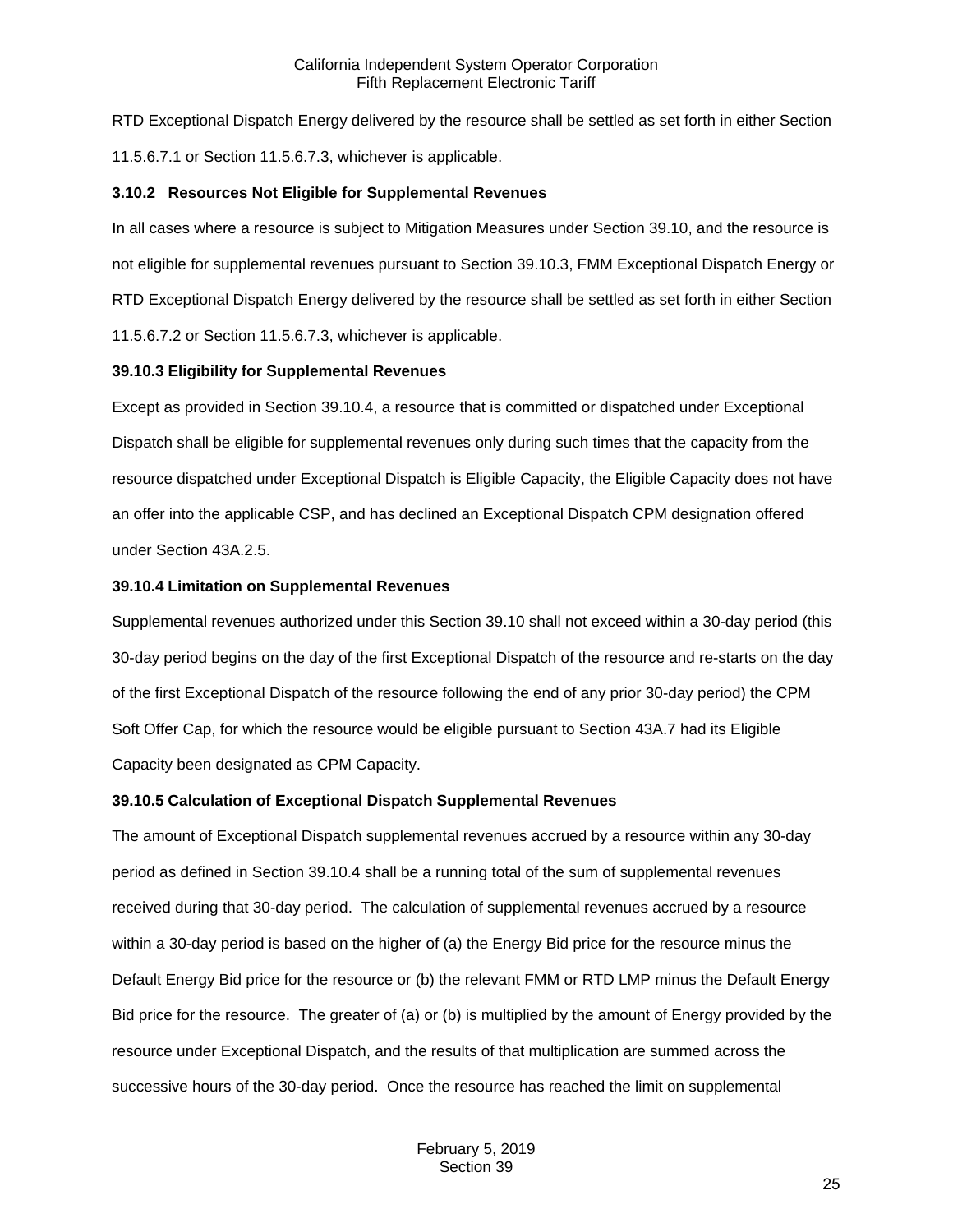RTD Exceptional Dispatch Energy delivered by the resource shall be settled as set forth in either Section 11.5.6.7.1 or Section 11.5.6.7.3, whichever is applicable.

#### <span id="page-24-0"></span>**3.10.2 Resources Not Eligible for Supplemental Revenues**

In all cases where a resource is subject to Mitigation Measures under Section 39.10, and the resource is not eligible for supplemental revenues pursuant to Section 39.10.3, FMM Exceptional Dispatch Energy or RTD Exceptional Dispatch Energy delivered by the resource shall be settled as set forth in either Section 11.5.6.7.2 or Section 11.5.6.7.3, whichever is applicable.

#### <span id="page-24-1"></span>**39.10.3 Eligibility for Supplemental Revenues**

Except as provided in Section 39.10.4, a resource that is committed or dispatched under Exceptional Dispatch shall be eligible for supplemental revenues only during such times that the capacity from the resource dispatched under Exceptional Dispatch is Eligible Capacity, the Eligible Capacity does not have an offer into the applicable CSP, and has declined an Exceptional Dispatch CPM designation offered under Section 43A.2.5.

### <span id="page-24-2"></span>**39.10.4 Limitation on Supplemental Revenues**

Supplemental revenues authorized under this Section 39.10 shall not exceed within a 30-day period (this 30-day period begins on the day of the first Exceptional Dispatch of the resource and re-starts on the day of the first Exceptional Dispatch of the resource following the end of any prior 30-day period) the CPM Soft Offer Cap, for which the resource would be eligible pursuant to Section 43A.7 had its Eligible Capacity been designated as CPM Capacity.

#### <span id="page-24-3"></span>**39.10.5 Calculation of Exceptional Dispatch Supplemental Revenues**

The amount of Exceptional Dispatch supplemental revenues accrued by a resource within any 30-day period as defined in Section 39.10.4 shall be a running total of the sum of supplemental revenues received during that 30-day period. The calculation of supplemental revenues accrued by a resource within a 30-day period is based on the higher of (a) the Energy Bid price for the resource minus the Default Energy Bid price for the resource or (b) the relevant FMM or RTD LMP minus the Default Energy Bid price for the resource. The greater of (a) or (b) is multiplied by the amount of Energy provided by the resource under Exceptional Dispatch, and the results of that multiplication are summed across the successive hours of the 30-day period. Once the resource has reached the limit on supplemental